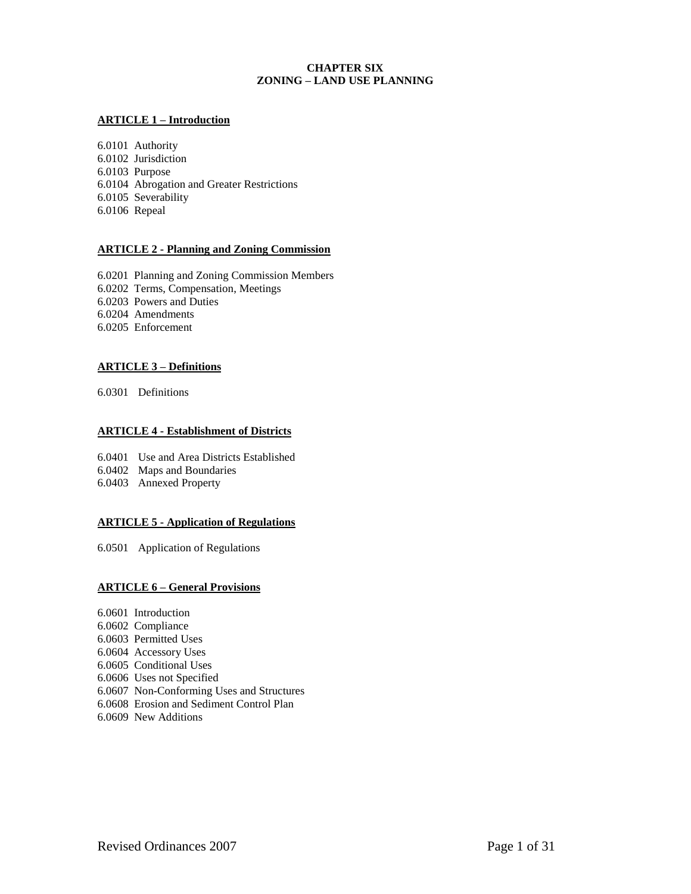# **CHAPTER SIX ZONING – LAND USE PLANNING**

# **ARTICLE 1 – Introduction**

6.0101 Authority 6.0102 Jurisdiction 6.0103 Purpose 6.0104 Abrogation and Greater Restrictions 6.0105 Severability 6.0106 Repeal

# **ARTICLE 2 - Planning and Zoning Commission**

6.0201 Planning and Zoning Commission Members 6.0202 Terms, Compensation, Meetings 6.0203 Powers and Duties 6.0204 Amendments 6.0205 Enforcement

# **ARTICLE 3 – Definitions**

6.0301 Definitions

# **ARTICLE 4 - Establishment of Districts**

6.0401 Use and Area Districts Established

- 6.0402 Maps and Boundaries
- 6.0403 Annexed Property

# **ARTICLE 5 - Application of Regulations**

6.0501 Application of Regulations

# **ARTICLE 6 – General Provisions**

6.0601 Introduction 6.0602 Compliance 6.0603 Permitted Uses 6.0604 Accessory Uses 6.0605 Conditional Uses 6.0606 Uses not Specified 6.0607 Non-Conforming Uses and Structures 6.0608 Erosion and Sediment Control Plan 6.0609 New Additions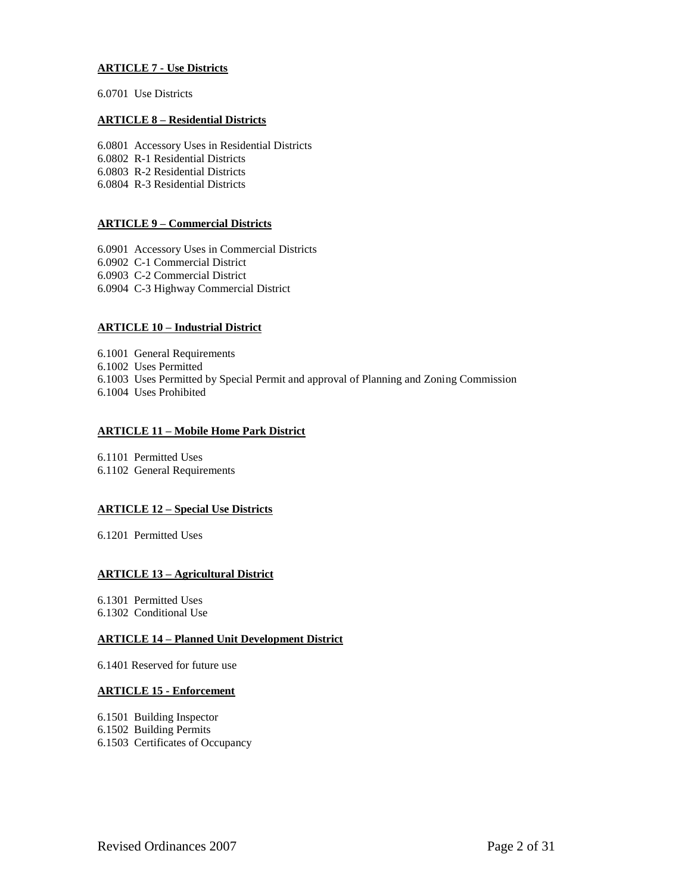# **ARTICLE 7 - Use Districts**

6.0701 Use Districts

# **ARTICLE 8 – Residential Districts**

6.0801 Accessory Uses in Residential Districts 6.0802 R-1 Residential Districts 6.0803 R-2 Residential Districts 6.0804 R-3 Residential Districts

# **ARTICLE 9 – Commercial Districts**

6.0901 Accessory Uses in Commercial Districts 6.0902 C-1 Commercial District 6.0903 C-2 Commercial District 6.0904 C-3 Highway Commercial District

# **ARTICLE 10 – Industrial District**

6.1001 General Requirements 6.1002 Uses Permitted 6.1003 Uses Permitted by Special Permit and approval of Planning and Zoning Commission 6.1004 Uses Prohibited

# **ARTICLE 11 – Mobile Home Park District**

6.1101 Permitted Uses 6.1102 General Requirements

# **ARTICLE 12 – Special Use Districts**

6.1201 Permitted Uses

# **ARTICLE 13 – Agricultural District**

6.1301 Permitted Uses

6.1302 Conditional Use

# **ARTICLE 14 – Planned Unit Development District**

6.1401 Reserved for future use

# **ARTICLE 15 - Enforcement**

6.1501 Building Inspector

- 6.1502 Building Permits
- 6.1503 Certificates of Occupancy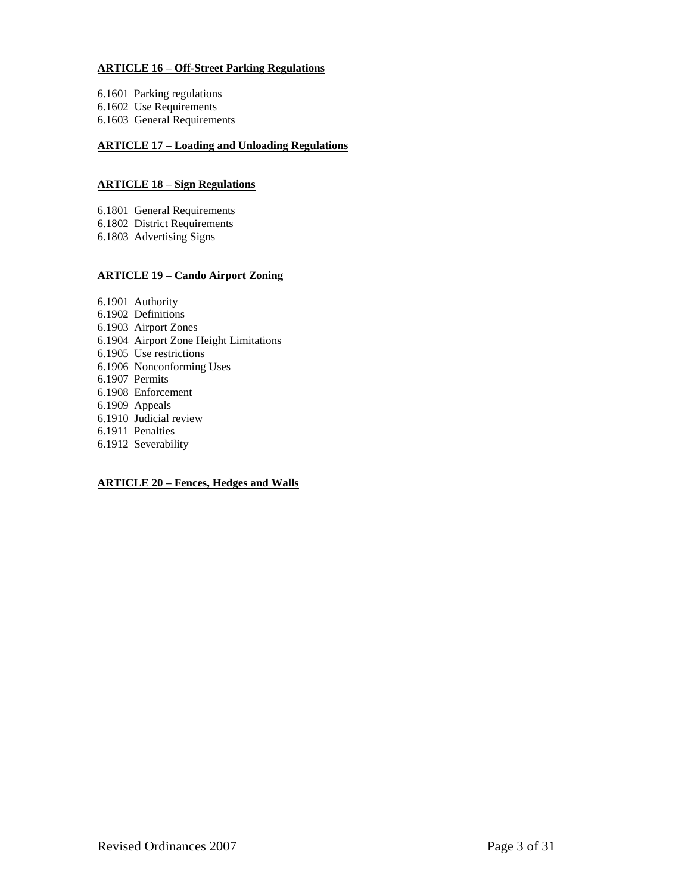# **ARTICLE 16 – Off-Street Parking Regulations**

- 6.1601 Parking regulations
- 6.1602 Use Requirements
- 6.1603 General Requirements

# **ARTICLE 17 – Loading and Unloading Regulations**

# **ARTICLE 18 – Sign Regulations**

- 6.1801 General Requirements
- 6.1802 District Requirements
- 6.1803 Advertising Signs

# **ARTICLE 19 – Cando Airport Zoning**

- 6.1901 Authority
- 6.1902 Definitions
- 6.1903 Airport Zones
- 6.1904 Airport Zone Height Limitations
- 6.1905 Use restrictions
- 6.1906 Nonconforming Uses
- 6.1907 Permits
- 6.1908 Enforcement
- 6.1909 Appeals
- 6.1910 Judicial review
- 6.1911 Penalties
- 6.1912 Severability

# **ARTICLE 20 – Fences, Hedges and Walls**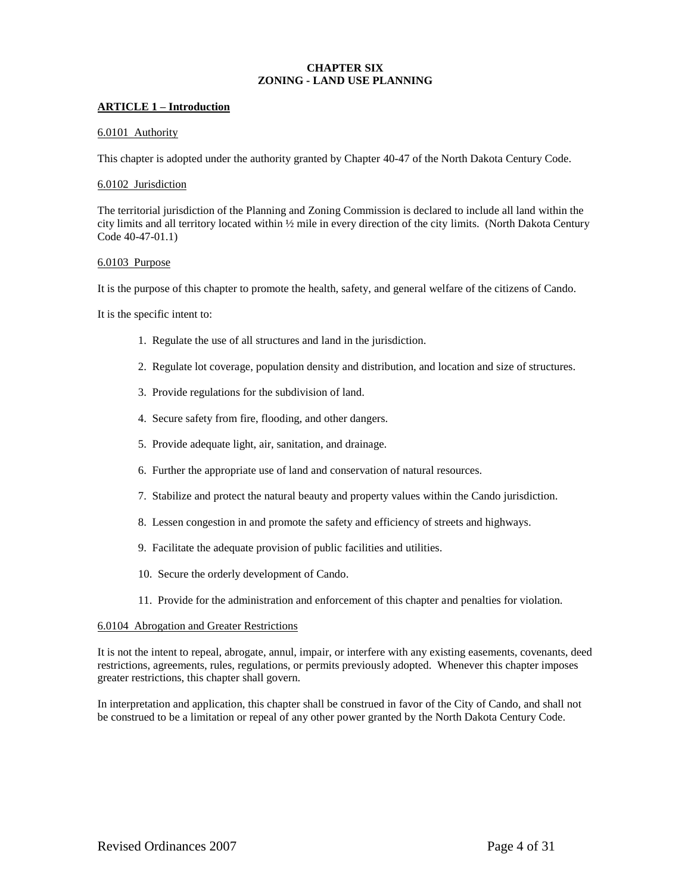# **CHAPTER SIX ZONING - LAND USE PLANNING**

## **ARTICLE 1 – Introduction**

### 6.0101 Authority

This chapter is adopted under the authority granted by Chapter 40-47 of the North Dakota Century Code.

### 6.0102 Jurisdiction

The territorial jurisdiction of the Planning and Zoning Commission is declared to include all land within the city limits and all territory located within ½ mile in every direction of the city limits. (North Dakota Century Code 40-47-01.1)

## 6.0103 Purpose

It is the purpose of this chapter to promote the health, safety, and general welfare of the citizens of Cando.

It is the specific intent to:

- 1. Regulate the use of all structures and land in the jurisdiction.
- 2. Regulate lot coverage, population density and distribution, and location and size of structures.
- 3. Provide regulations for the subdivision of land.
- 4. Secure safety from fire, flooding, and other dangers.
- 5. Provide adequate light, air, sanitation, and drainage.
- 6. Further the appropriate use of land and conservation of natural resources.
- 7. Stabilize and protect the natural beauty and property values within the Cando jurisdiction.
- 8. Lessen congestion in and promote the safety and efficiency of streets and highways.
- 9. Facilitate the adequate provision of public facilities and utilities.
- 10. Secure the orderly development of Cando.
- 11. Provide for the administration and enforcement of this chapter and penalties for violation.

## 6.0104 Abrogation and Greater Restrictions

It is not the intent to repeal, abrogate, annul, impair, or interfere with any existing easements, covenants, deed restrictions, agreements, rules, regulations, or permits previously adopted. Whenever this chapter imposes greater restrictions, this chapter shall govern.

In interpretation and application, this chapter shall be construed in favor of the City of Cando, and shall not be construed to be a limitation or repeal of any other power granted by the North Dakota Century Code.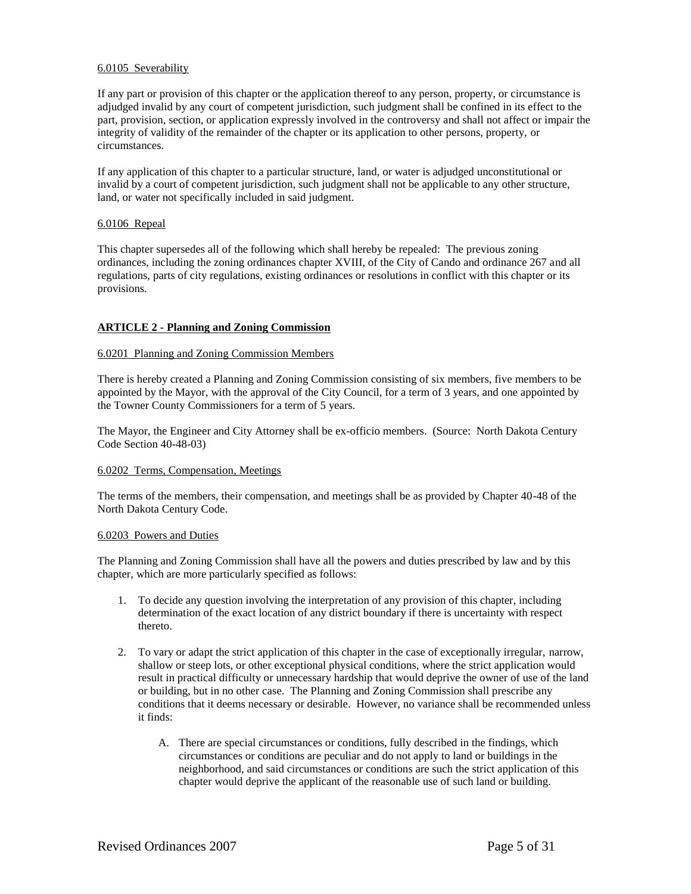## 6.0105 Severability

If any part or provision of this chapter or the application thereof to any person, property, or circumstance is adjudged invalid by any court of competent jurisdiction, such judgment shall be confined in its effect to the part, provision, section, or application expressly involved in the controversy and shall not affect or impair the integrity of validity of the remainder of the chapter or its application to other persons, property, or circumstances.

If any application of this chapter to a particular structure, land, or water is adjudged unconstitutional or invalid by a court of competent jurisdiction, such judgment shall not be applicable to any other structure, land, or water not specifically included in said judgment.

## 6.0106 Repeal

This chapter supersedes all of the following which shall hereby be repealed: The previous zoning ordinances, including the zoning ordinances chapter XVIII, of the City of Cando and ordinance 267 and all regulations, parts of city regulations, existing ordinances or resolutions in conflict with this chapter or its provisions.

## **ARTICLE 2 - Planning and Zoning Commission**

## 6.0201 Planning and Zoning Commission Members

There is hereby created a Planning and Zoning Commission consisting of six members, five members to be appointed by the Mayor, with the approval of the City Council, for a term of 3 years, and one appointed by the Towner County Commissioners for a term of 5 years.

The Mayor, the Engineer and City Attorney shall be ex-officio members. (Source: North Dakota Century Code Section 40-48-03)

### 6.0202 Terms, Compensation, Meetings

The terms of the members, their compensation, and meetings shall be as provided by Chapter 40-48 of the North Dakota Century Code.

### 6.0203 Powers and Duties

The Planning and Zoning Commission shall have all the powers and duties prescribed by law and by this chapter, which are more particularly specified as follows:

- 1. To decide any question involving the interpretation of any provision of this chapter, including determination of the exact location of any district boundary if there is uncertainty with respect thereto.
- 2. To vary or adapt the strict application of this chapter in the case of exceptionally irregular, narrow, shallow or steep lots, or other exceptional physical conditions, where the strict application would result in practical difficulty or unnecessary hardship that would deprive the owner of use of the land or building, but in no other case. The Planning and Zoning Commission shall prescribe any conditions that it deems necessary or desirable. However, no variance shall be recommended unless it finds:
	- A. There are special circumstances or conditions, fully described in the findings, which circumstances or conditions are peculiar and do not apply to land or buildings in the neighborhood, and said circumstances or conditions are such the strict application of this chapter would deprive the applicant of the reasonable use of such land or building.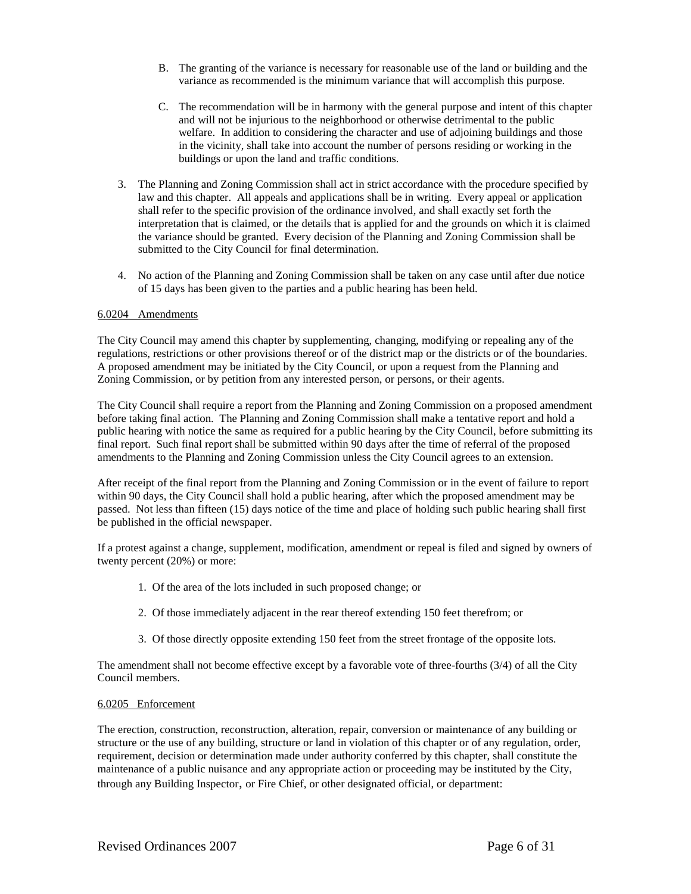- B. The granting of the variance is necessary for reasonable use of the land or building and the variance as recommended is the minimum variance that will accomplish this purpose.
- C. The recommendation will be in harmony with the general purpose and intent of this chapter and will not be injurious to the neighborhood or otherwise detrimental to the public welfare. In addition to considering the character and use of adjoining buildings and those in the vicinity, shall take into account the number of persons residing or working in the buildings or upon the land and traffic conditions.
- 3. The Planning and Zoning Commission shall act in strict accordance with the procedure specified by law and this chapter. All appeals and applications shall be in writing. Every appeal or application shall refer to the specific provision of the ordinance involved, and shall exactly set forth the interpretation that is claimed, or the details that is applied for and the grounds on which it is claimed the variance should be granted. Every decision of the Planning and Zoning Commission shall be submitted to the City Council for final determination.
- 4. No action of the Planning and Zoning Commission shall be taken on any case until after due notice of 15 days has been given to the parties and a public hearing has been held.

## 6.0204 Amendments

The City Council may amend this chapter by supplementing, changing, modifying or repealing any of the regulations, restrictions or other provisions thereof or of the district map or the districts or of the boundaries. A proposed amendment may be initiated by the City Council, or upon a request from the Planning and Zoning Commission, or by petition from any interested person, or persons, or their agents.

The City Council shall require a report from the Planning and Zoning Commission on a proposed amendment before taking final action. The Planning and Zoning Commission shall make a tentative report and hold a public hearing with notice the same as required for a public hearing by the City Council, before submitting its final report. Such final report shall be submitted within 90 days after the time of referral of the proposed amendments to the Planning and Zoning Commission unless the City Council agrees to an extension.

After receipt of the final report from the Planning and Zoning Commission or in the event of failure to report within 90 days, the City Council shall hold a public hearing, after which the proposed amendment may be passed. Not less than fifteen (15) days notice of the time and place of holding such public hearing shall first be published in the official newspaper.

If a protest against a change, supplement, modification, amendment or repeal is filed and signed by owners of twenty percent (20%) or more:

- 1. Of the area of the lots included in such proposed change; or
- 2. Of those immediately adjacent in the rear thereof extending 150 feet therefrom; or
- 3. Of those directly opposite extending 150 feet from the street frontage of the opposite lots.

The amendment shall not become effective except by a favorable vote of three-fourths (3/4) of all the City Council members.

# 6.0205 Enforcement

The erection, construction, reconstruction, alteration, repair, conversion or maintenance of any building or structure or the use of any building, structure or land in violation of this chapter or of any regulation, order, requirement, decision or determination made under authority conferred by this chapter, shall constitute the maintenance of a public nuisance and any appropriate action or proceeding may be instituted by the City, through any Building Inspector, or Fire Chief, or other designated official, or department: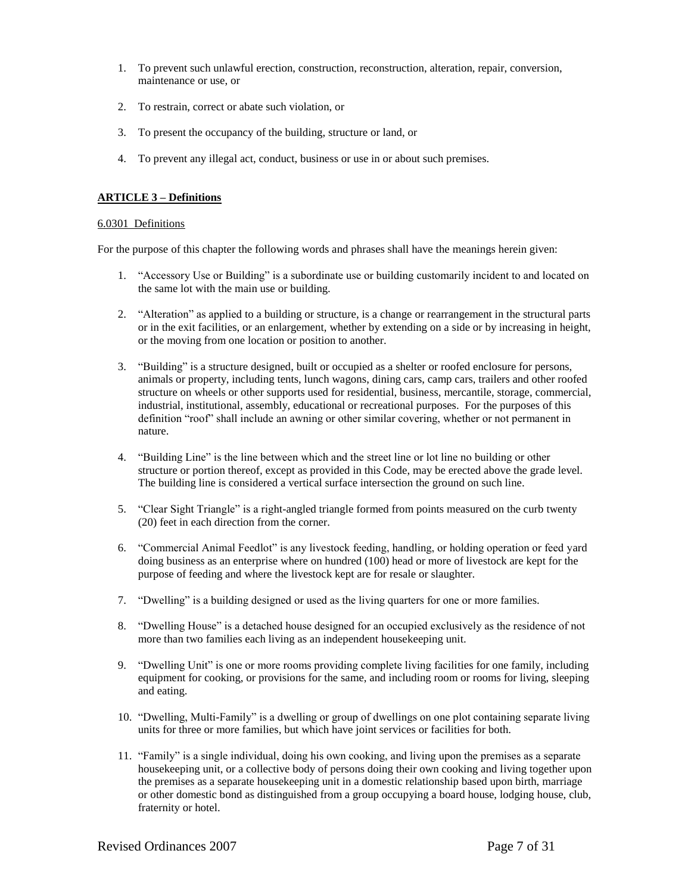- 1. To prevent such unlawful erection, construction, reconstruction, alteration, repair, conversion, maintenance or use, or
- 2. To restrain, correct or abate such violation, or
- 3. To present the occupancy of the building, structure or land, or
- 4. To prevent any illegal act, conduct, business or use in or about such premises.

# **ARTICLE 3 – Definitions**

## 6.0301 Definitions

For the purpose of this chapter the following words and phrases shall have the meanings herein given:

- 1. "Accessory Use or Building" is a subordinate use or building customarily incident to and located on the same lot with the main use or building.
- 2. "Alteration" as applied to a building or structure, is a change or rearrangement in the structural parts or in the exit facilities, or an enlargement, whether by extending on a side or by increasing in height, or the moving from one location or position to another.
- 3. "Building" is a structure designed, built or occupied as a shelter or roofed enclosure for persons, animals or property, including tents, lunch wagons, dining cars, camp cars, trailers and other roofed structure on wheels or other supports used for residential, business, mercantile, storage, commercial, industrial, institutional, assembly, educational or recreational purposes. For the purposes of this definition "roof" shall include an awning or other similar covering, whether or not permanent in nature.
- 4. "Building Line" is the line between which and the street line or lot line no building or other structure or portion thereof, except as provided in this Code, may be erected above the grade level. The building line is considered a vertical surface intersection the ground on such line.
- 5. "Clear Sight Triangle" is a right-angled triangle formed from points measured on the curb twenty (20) feet in each direction from the corner.
- 6. "Commercial Animal Feedlot" is any livestock feeding, handling, or holding operation or feed yard doing business as an enterprise where on hundred (100) head or more of livestock are kept for the purpose of feeding and where the livestock kept are for resale or slaughter.
- 7. "Dwelling" is a building designed or used as the living quarters for one or more families.
- 8. "Dwelling House" is a detached house designed for an occupied exclusively as the residence of not more than two families each living as an independent housekeeping unit.
- 9. "Dwelling Unit" is one or more rooms providing complete living facilities for one family, including equipment for cooking, or provisions for the same, and including room or rooms for living, sleeping and eating.
- 10. "Dwelling, Multi-Family" is a dwelling or group of dwellings on one plot containing separate living units for three or more families, but which have joint services or facilities for both.
- 11. "Family" is a single individual, doing his own cooking, and living upon the premises as a separate housekeeping unit, or a collective body of persons doing their own cooking and living together upon the premises as a separate housekeeping unit in a domestic relationship based upon birth, marriage or other domestic bond as distinguished from a group occupying a board house, lodging house, club, fraternity or hotel.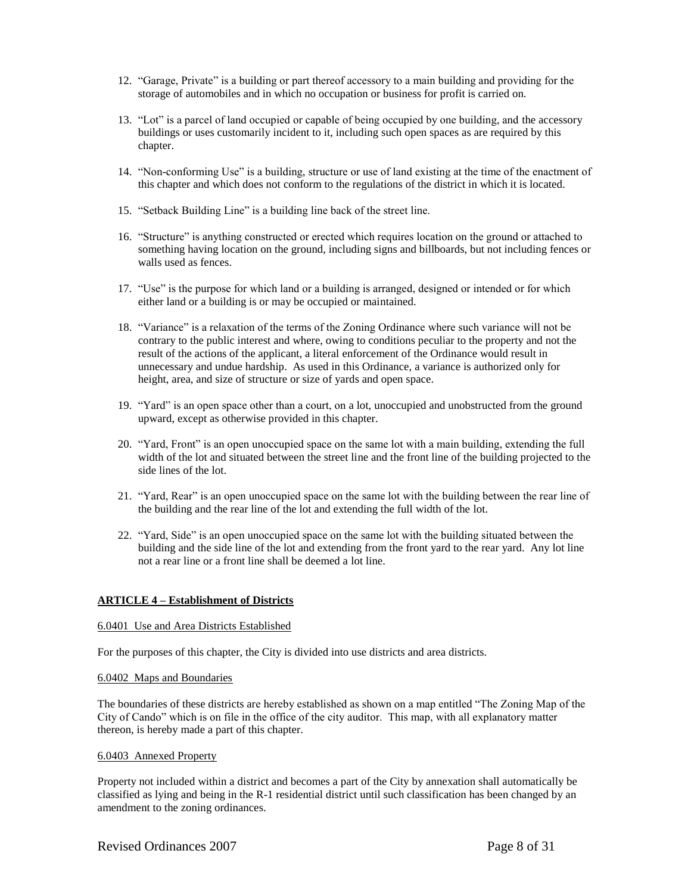- 12. "Garage, Private" is a building or part thereof accessory to a main building and providing for the storage of automobiles and in which no occupation or business for profit is carried on.
- 13. "Lot" is a parcel of land occupied or capable of being occupied by one building, and the accessory buildings or uses customarily incident to it, including such open spaces as are required by this chapter.
- 14. "Non-conforming Use" is a building, structure or use of land existing at the time of the enactment of this chapter and which does not conform to the regulations of the district in which it is located.
- 15. "Setback Building Line" is a building line back of the street line.
- 16. "Structure" is anything constructed or erected which requires location on the ground or attached to something having location on the ground, including signs and billboards, but not including fences or walls used as fences.
- 17. "Use" is the purpose for which land or a building is arranged, designed or intended or for which either land or a building is or may be occupied or maintained.
- 18. "Variance" is a relaxation of the terms of the Zoning Ordinance where such variance will not be contrary to the public interest and where, owing to conditions peculiar to the property and not the result of the actions of the applicant, a literal enforcement of the Ordinance would result in unnecessary and undue hardship. As used in this Ordinance, a variance is authorized only for height, area, and size of structure or size of yards and open space.
- 19. "Yard" is an open space other than a court, on a lot, unoccupied and unobstructed from the ground upward, except as otherwise provided in this chapter.
- 20. "Yard, Front" is an open unoccupied space on the same lot with a main building, extending the full width of the lot and situated between the street line and the front line of the building projected to the side lines of the lot.
- 21. "Yard, Rear" is an open unoccupied space on the same lot with the building between the rear line of the building and the rear line of the lot and extending the full width of the lot.
- 22. "Yard, Side" is an open unoccupied space on the same lot with the building situated between the building and the side line of the lot and extending from the front yard to the rear yard. Any lot line not a rear line or a front line shall be deemed a lot line.

# **ARTICLE 4 – Establishment of Districts**

## 6.0401 Use and Area Districts Established

For the purposes of this chapter, the City is divided into use districts and area districts.

### 6.0402 Maps and Boundaries

The boundaries of these districts are hereby established as shown on a map entitled "The Zoning Map of the City of Cando" which is on file in the office of the city auditor. This map, with all explanatory matter thereon, is hereby made a part of this chapter.

### 6.0403 Annexed Property

Property not included within a district and becomes a part of the City by annexation shall automatically be classified as lying and being in the R-1 residential district until such classification has been changed by an amendment to the zoning ordinances.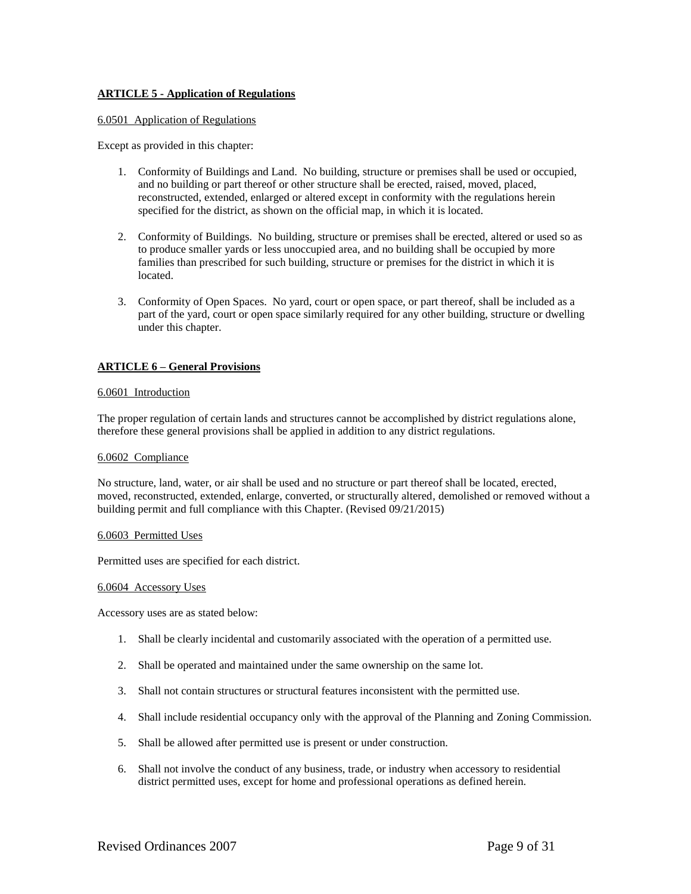# **ARTICLE 5 - Application of Regulations**

## 6.0501 Application of Regulations

Except as provided in this chapter:

- 1. Conformity of Buildings and Land. No building, structure or premises shall be used or occupied, and no building or part thereof or other structure shall be erected, raised, moved, placed, reconstructed, extended, enlarged or altered except in conformity with the regulations herein specified for the district, as shown on the official map, in which it is located.
- 2. Conformity of Buildings. No building, structure or premises shall be erected, altered or used so as to produce smaller yards or less unoccupied area, and no building shall be occupied by more families than prescribed for such building, structure or premises for the district in which it is located.
- 3. Conformity of Open Spaces. No yard, court or open space, or part thereof, shall be included as a part of the yard, court or open space similarly required for any other building, structure or dwelling under this chapter.

# **ARTICLE 6 – General Provisions**

## 6.0601 Introduction

The proper regulation of certain lands and structures cannot be accomplished by district regulations alone, therefore these general provisions shall be applied in addition to any district regulations.

### 6.0602 Compliance

No structure, land, water, or air shall be used and no structure or part thereof shall be located, erected, moved, reconstructed, extended, enlarge, converted, or structurally altered, demolished or removed without a building permit and full compliance with this Chapter. (Revised 09/21/2015)

### 6.0603 Permitted Uses

Permitted uses are specified for each district.

### 6.0604 Accessory Uses

Accessory uses are as stated below:

- 1. Shall be clearly incidental and customarily associated with the operation of a permitted use.
- 2. Shall be operated and maintained under the same ownership on the same lot.
- 3. Shall not contain structures or structural features inconsistent with the permitted use.
- 4. Shall include residential occupancy only with the approval of the Planning and Zoning Commission.
- 5. Shall be allowed after permitted use is present or under construction.
- 6. Shall not involve the conduct of any business, trade, or industry when accessory to residential district permitted uses, except for home and professional operations as defined herein.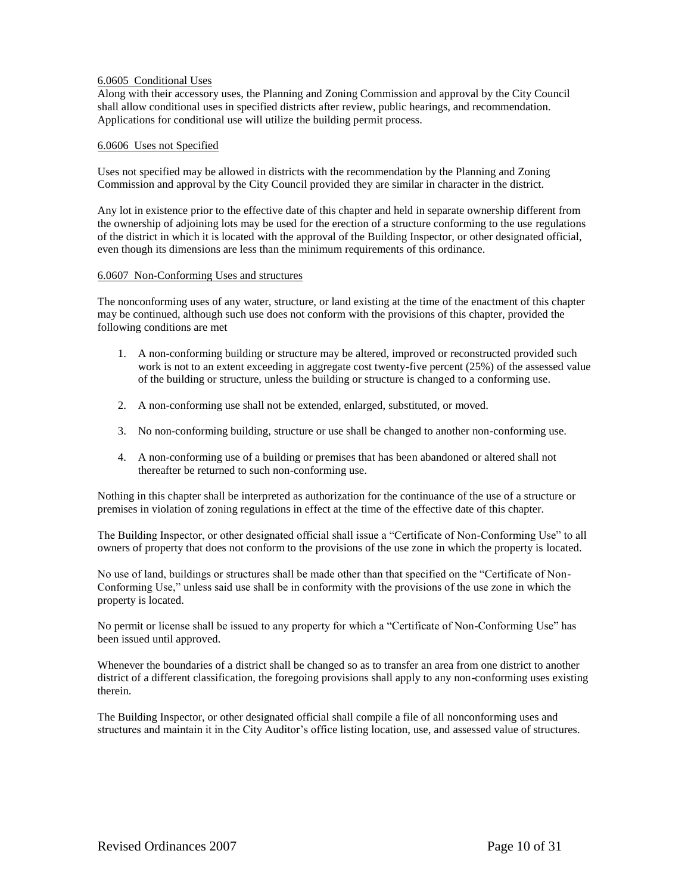# 6.0605 Conditional Uses

Along with their accessory uses, the Planning and Zoning Commission and approval by the City Council shall allow conditional uses in specified districts after review, public hearings, and recommendation. Applications for conditional use will utilize the building permit process.

## 6.0606 Uses not Specified

Uses not specified may be allowed in districts with the recommendation by the Planning and Zoning Commission and approval by the City Council provided they are similar in character in the district.

Any lot in existence prior to the effective date of this chapter and held in separate ownership different from the ownership of adjoining lots may be used for the erection of a structure conforming to the use regulations of the district in which it is located with the approval of the Building Inspector, or other designated official, even though its dimensions are less than the minimum requirements of this ordinance.

### 6.0607 Non-Conforming Uses and structures

The nonconforming uses of any water, structure, or land existing at the time of the enactment of this chapter may be continued, although such use does not conform with the provisions of this chapter, provided the following conditions are met

- 1. A non-conforming building or structure may be altered, improved or reconstructed provided such work is not to an extent exceeding in aggregate cost twenty-five percent (25%) of the assessed value of the building or structure, unless the building or structure is changed to a conforming use.
- 2. A non-conforming use shall not be extended, enlarged, substituted, or moved.
- 3. No non-conforming building, structure or use shall be changed to another non-conforming use.
- 4. A non-conforming use of a building or premises that has been abandoned or altered shall not thereafter be returned to such non-conforming use.

Nothing in this chapter shall be interpreted as authorization for the continuance of the use of a structure or premises in violation of zoning regulations in effect at the time of the effective date of this chapter.

The Building Inspector, or other designated official shall issue a "Certificate of Non-Conforming Use" to all owners of property that does not conform to the provisions of the use zone in which the property is located.

No use of land, buildings or structures shall be made other than that specified on the "Certificate of Non-Conforming Use," unless said use shall be in conformity with the provisions of the use zone in which the property is located.

No permit or license shall be issued to any property for which a "Certificate of Non-Conforming Use" has been issued until approved.

Whenever the boundaries of a district shall be changed so as to transfer an area from one district to another district of a different classification, the foregoing provisions shall apply to any non-conforming uses existing therein.

The Building Inspector, or other designated official shall compile a file of all nonconforming uses and structures and maintain it in the City Auditor's office listing location, use, and assessed value of structures.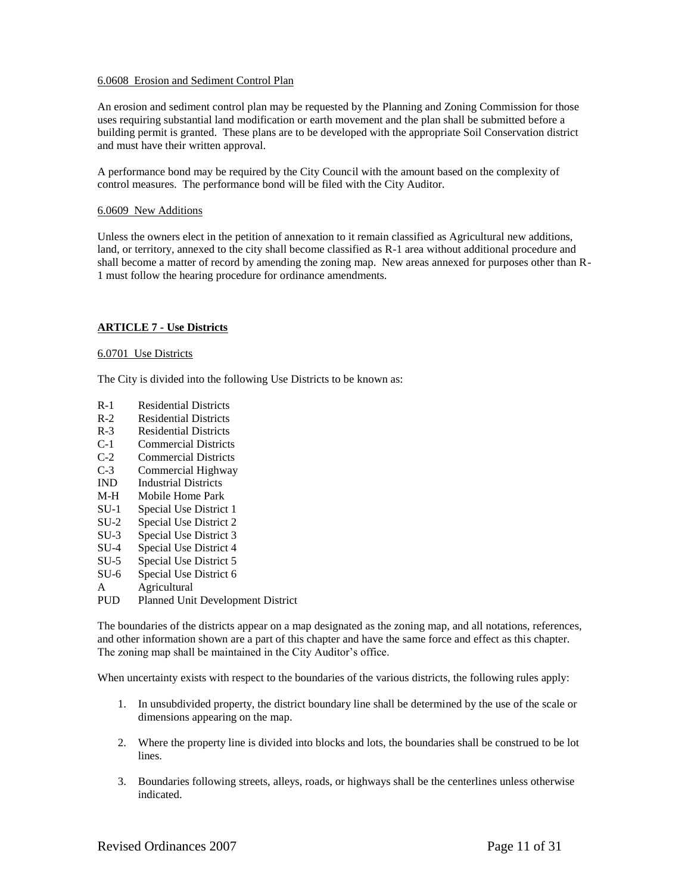# 6.0608 Erosion and Sediment Control Plan

An erosion and sediment control plan may be requested by the Planning and Zoning Commission for those uses requiring substantial land modification or earth movement and the plan shall be submitted before a building permit is granted. These plans are to be developed with the appropriate Soil Conservation district and must have their written approval.

A performance bond may be required by the City Council with the amount based on the complexity of control measures. The performance bond will be filed with the City Auditor.

### 6.0609 New Additions

Unless the owners elect in the petition of annexation to it remain classified as Agricultural new additions, land, or territory, annexed to the city shall become classified as R-1 area without additional procedure and shall become a matter of record by amending the zoning map. New areas annexed for purposes other than R-1 must follow the hearing procedure for ordinance amendments.

## **ARTICLE 7 - Use Districts**

### 6.0701 Use Districts

The City is divided into the following Use Districts to be known as:

- R-1 Residential Districts
- R-2 Residential Districts
- R-3 Residential Districts
- C-1 Commercial Districts
- C-2 Commercial Districts
- C-3 Commercial Highway
- IND Industrial Districts
- M-H Mobile Home Park
- SU-1 Special Use District 1
- SU-2 Special Use District 2
- SU-3 Special Use District 3
- SU-4 Special Use District 4
- SU-5 Special Use District 5
- SU-6 Special Use District 6
- A Agricultural
- PUD Planned Unit Development District

The boundaries of the districts appear on a map designated as the zoning map, and all notations, references, and other information shown are a part of this chapter and have the same force and effect as this chapter. The zoning map shall be maintained in the City Auditor's office.

When uncertainty exists with respect to the boundaries of the various districts, the following rules apply:

- 1. In unsubdivided property, the district boundary line shall be determined by the use of the scale or dimensions appearing on the map.
- 2. Where the property line is divided into blocks and lots, the boundaries shall be construed to be lot lines.
- 3. Boundaries following streets, alleys, roads, or highways shall be the centerlines unless otherwise indicated.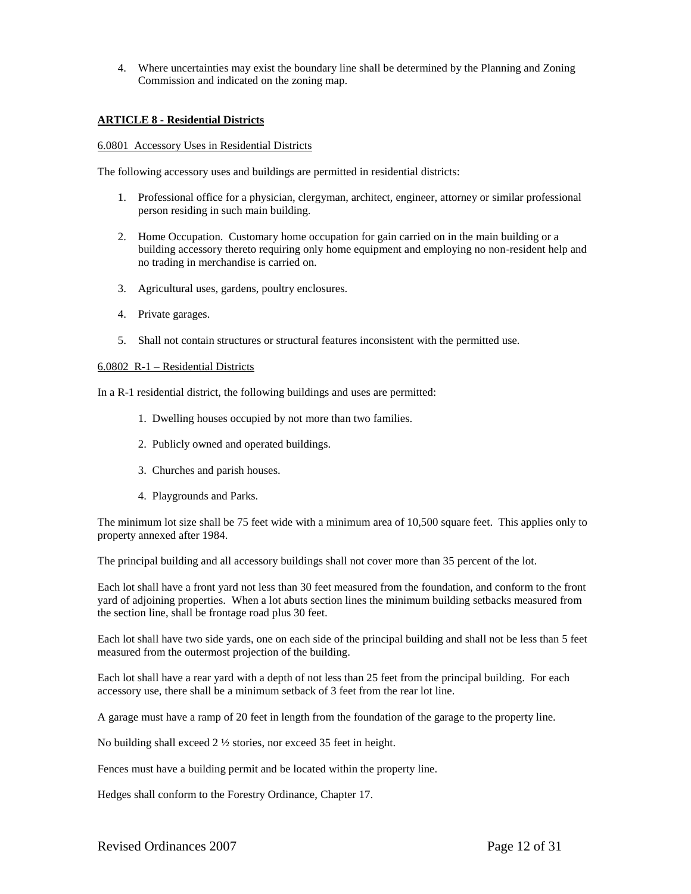4. Where uncertainties may exist the boundary line shall be determined by the Planning and Zoning Commission and indicated on the zoning map.

## **ARTICLE 8 - Residential Districts**

### 6.0801 Accessory Uses in Residential Districts

The following accessory uses and buildings are permitted in residential districts:

- 1. Professional office for a physician, clergyman, architect, engineer, attorney or similar professional person residing in such main building.
- 2. Home Occupation. Customary home occupation for gain carried on in the main building or a building accessory thereto requiring only home equipment and employing no non-resident help and no trading in merchandise is carried on.
- 3. Agricultural uses, gardens, poultry enclosures.
- 4. Private garages.
- 5. Shall not contain structures or structural features inconsistent with the permitted use.

### 6.0802 R-1 – Residential Districts

In a R-1 residential district, the following buildings and uses are permitted:

- 1. Dwelling houses occupied by not more than two families.
- 2. Publicly owned and operated buildings.
- 3. Churches and parish houses.
- 4. Playgrounds and Parks.

The minimum lot size shall be 75 feet wide with a minimum area of 10,500 square feet. This applies only to property annexed after 1984.

The principal building and all accessory buildings shall not cover more than 35 percent of the lot.

Each lot shall have a front yard not less than 30 feet measured from the foundation, and conform to the front yard of adjoining properties. When a lot abuts section lines the minimum building setbacks measured from the section line, shall be frontage road plus 30 feet.

Each lot shall have two side yards, one on each side of the principal building and shall not be less than 5 feet measured from the outermost projection of the building.

Each lot shall have a rear yard with a depth of not less than 25 feet from the principal building. For each accessory use, there shall be a minimum setback of 3 feet from the rear lot line.

A garage must have a ramp of 20 feet in length from the foundation of the garage to the property line.

No building shall exceed 2 ½ stories, nor exceed 35 feet in height.

Fences must have a building permit and be located within the property line.

Hedges shall conform to the Forestry Ordinance, Chapter 17.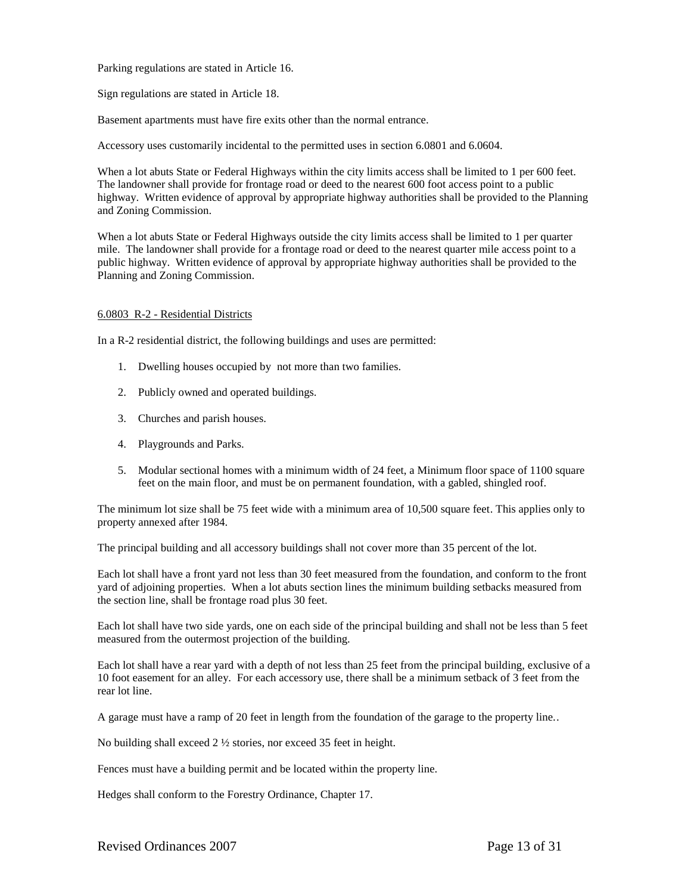Parking regulations are stated in Article 16.

Sign regulations are stated in Article 18.

Basement apartments must have fire exits other than the normal entrance.

Accessory uses customarily incidental to the permitted uses in section 6.0801 and 6.0604.

When a lot abuts State or Federal Highways within the city limits access shall be limited to 1 per 600 feet. The landowner shall provide for frontage road or deed to the nearest 600 foot access point to a public highway. Written evidence of approval by appropriate highway authorities shall be provided to the Planning and Zoning Commission.

When a lot abuts State or Federal Highways outside the city limits access shall be limited to 1 per quarter mile. The landowner shall provide for a frontage road or deed to the nearest quarter mile access point to a public highway. Written evidence of approval by appropriate highway authorities shall be provided to the Planning and Zoning Commission.

## 6.0803 R-2 - Residential Districts

In a R-2 residential district, the following buildings and uses are permitted:

- 1. Dwelling houses occupied by not more than two families.
- 2. Publicly owned and operated buildings.
- 3. Churches and parish houses.
- 4. Playgrounds and Parks.
- 5. Modular sectional homes with a minimum width of 24 feet, a Minimum floor space of 1100 square feet on the main floor, and must be on permanent foundation, with a gabled, shingled roof.

The minimum lot size shall be 75 feet wide with a minimum area of 10,500 square feet. This applies only to property annexed after 1984.

The principal building and all accessory buildings shall not cover more than 35 percent of the lot.

Each lot shall have a front yard not less than 30 feet measured from the foundation, and conform to the front yard of adjoining properties. When a lot abuts section lines the minimum building setbacks measured from the section line, shall be frontage road plus 30 feet.

Each lot shall have two side yards, one on each side of the principal building and shall not be less than 5 feet measured from the outermost projection of the building.

Each lot shall have a rear yard with a depth of not less than 25 feet from the principal building, exclusive of a 10 foot easement for an alley. For each accessory use, there shall be a minimum setback of 3 feet from the rear lot line.

A garage must have a ramp of 20 feet in length from the foundation of the garage to the property line..

No building shall exceed 2 ½ stories, nor exceed 35 feet in height.

Fences must have a building permit and be located within the property line.

Hedges shall conform to the Forestry Ordinance, Chapter 17.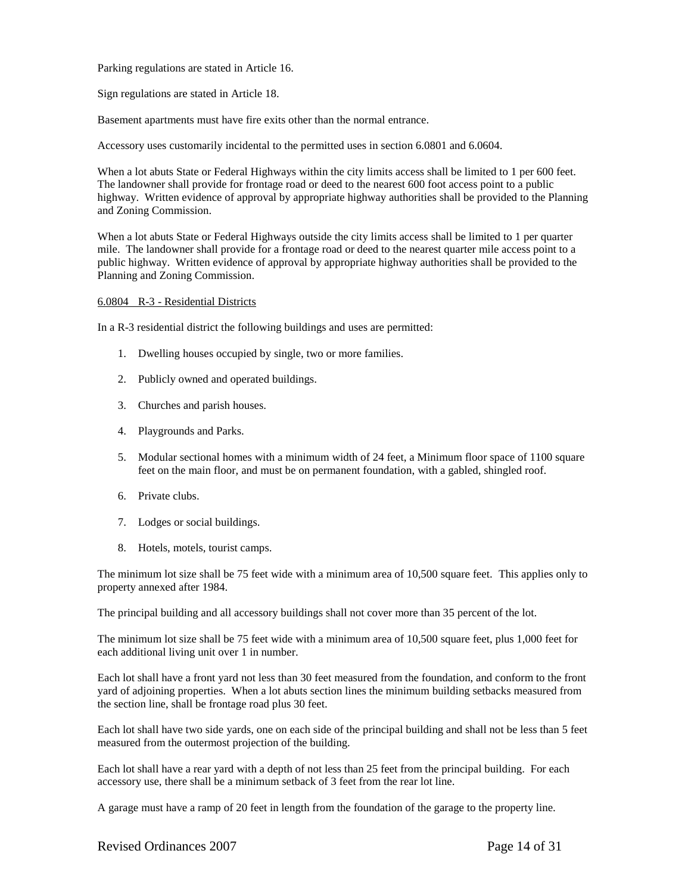Parking regulations are stated in Article 16.

Sign regulations are stated in Article 18.

Basement apartments must have fire exits other than the normal entrance.

Accessory uses customarily incidental to the permitted uses in section 6.0801 and 6.0604.

When a lot abuts State or Federal Highways within the city limits access shall be limited to 1 per 600 feet. The landowner shall provide for frontage road or deed to the nearest 600 foot access point to a public highway. Written evidence of approval by appropriate highway authorities shall be provided to the Planning and Zoning Commission.

When a lot abuts State or Federal Highways outside the city limits access shall be limited to 1 per quarter mile. The landowner shall provide for a frontage road or deed to the nearest quarter mile access point to a public highway. Written evidence of approval by appropriate highway authorities shall be provided to the Planning and Zoning Commission.

### 6.0804 R-3 - Residential Districts

In a R-3 residential district the following buildings and uses are permitted:

- 1. Dwelling houses occupied by single, two or more families.
- 2. Publicly owned and operated buildings.
- 3. Churches and parish houses.
- 4. Playgrounds and Parks.
- 5. Modular sectional homes with a minimum width of 24 feet, a Minimum floor space of 1100 square feet on the main floor, and must be on permanent foundation, with a gabled, shingled roof.
- 6. Private clubs.
- 7. Lodges or social buildings.
- 8. Hotels, motels, tourist camps.

The minimum lot size shall be 75 feet wide with a minimum area of 10,500 square feet. This applies only to property annexed after 1984.

The principal building and all accessory buildings shall not cover more than 35 percent of the lot.

The minimum lot size shall be 75 feet wide with a minimum area of 10,500 square feet, plus 1,000 feet for each additional living unit over 1 in number.

Each lot shall have a front yard not less than 30 feet measured from the foundation, and conform to the front yard of adjoining properties. When a lot abuts section lines the minimum building setbacks measured from the section line, shall be frontage road plus 30 feet.

Each lot shall have two side yards, one on each side of the principal building and shall not be less than 5 feet measured from the outermost projection of the building.

Each lot shall have a rear yard with a depth of not less than 25 feet from the principal building. For each accessory use, there shall be a minimum setback of 3 feet from the rear lot line.

A garage must have a ramp of 20 feet in length from the foundation of the garage to the property line.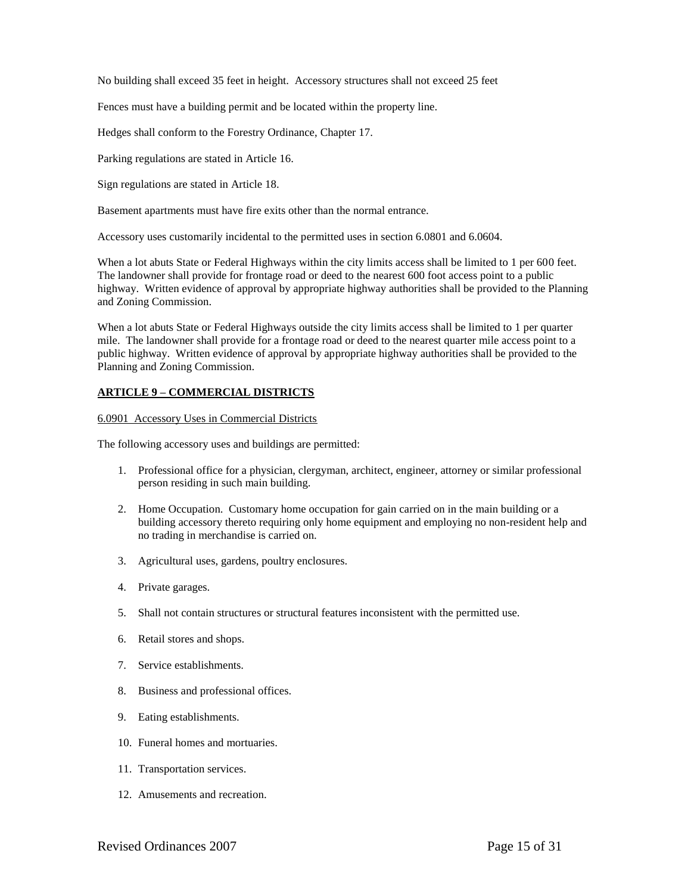No building shall exceed 35 feet in height. Accessory structures shall not exceed 25 feet

Fences must have a building permit and be located within the property line.

Hedges shall conform to the Forestry Ordinance, Chapter 17.

Parking regulations are stated in Article 16.

Sign regulations are stated in Article 18.

Basement apartments must have fire exits other than the normal entrance.

Accessory uses customarily incidental to the permitted uses in section 6.0801 and 6.0604.

When a lot abuts State or Federal Highways within the city limits access shall be limited to 1 per 600 feet. The landowner shall provide for frontage road or deed to the nearest 600 foot access point to a public highway. Written evidence of approval by appropriate highway authorities shall be provided to the Planning and Zoning Commission.

When a lot abuts State or Federal Highways outside the city limits access shall be limited to 1 per quarter mile. The landowner shall provide for a frontage road or deed to the nearest quarter mile access point to a public highway. Written evidence of approval by appropriate highway authorities shall be provided to the Planning and Zoning Commission.

# **ARTICLE 9 – COMMERCIAL DISTRICTS**

# 6.0901 Accessory Uses in Commercial Districts

The following accessory uses and buildings are permitted:

- 1. Professional office for a physician, clergyman, architect, engineer, attorney or similar professional person residing in such main building.
- 2. Home Occupation. Customary home occupation for gain carried on in the main building or a building accessory thereto requiring only home equipment and employing no non-resident help and no trading in merchandise is carried on.
- 3. Agricultural uses, gardens, poultry enclosures.
- 4. Private garages.
- 5. Shall not contain structures or structural features inconsistent with the permitted use.
- 6. Retail stores and shops.
- 7. Service establishments.
- 8. Business and professional offices.
- 9. Eating establishments.
- 10. Funeral homes and mortuaries.
- 11. Transportation services.
- 12. Amusements and recreation.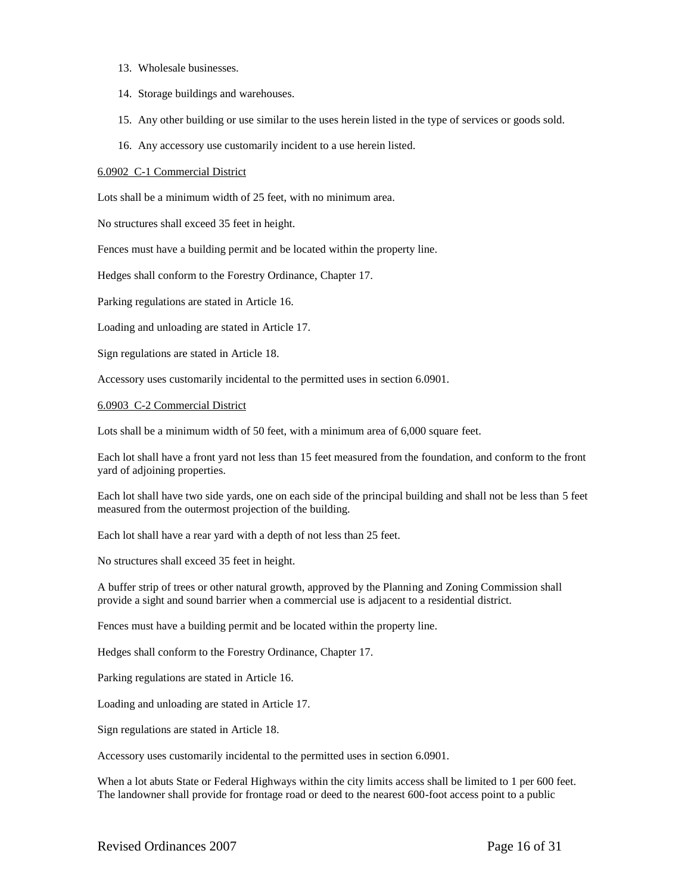- 13. Wholesale businesses.
- 14. Storage buildings and warehouses.
- 15. Any other building or use similar to the uses herein listed in the type of services or goods sold.
- 16. Any accessory use customarily incident to a use herein listed.

### 6.0902 C-1 Commercial District

Lots shall be a minimum width of 25 feet, with no minimum area.

No structures shall exceed 35 feet in height.

Fences must have a building permit and be located within the property line.

Hedges shall conform to the Forestry Ordinance, Chapter 17.

Parking regulations are stated in Article 16.

Loading and unloading are stated in Article 17.

Sign regulations are stated in Article 18.

Accessory uses customarily incidental to the permitted uses in section 6.0901.

### 6.0903 C-2 Commercial District

Lots shall be a minimum width of 50 feet, with a minimum area of 6,000 square feet.

Each lot shall have a front yard not less than 15 feet measured from the foundation, and conform to the front yard of adjoining properties.

Each lot shall have two side yards, one on each side of the principal building and shall not be less than 5 feet measured from the outermost projection of the building.

Each lot shall have a rear yard with a depth of not less than 25 feet.

No structures shall exceed 35 feet in height.

A buffer strip of trees or other natural growth, approved by the Planning and Zoning Commission shall provide a sight and sound barrier when a commercial use is adjacent to a residential district.

Fences must have a building permit and be located within the property line.

Hedges shall conform to the Forestry Ordinance, Chapter 17.

Parking regulations are stated in Article 16.

Loading and unloading are stated in Article 17.

Sign regulations are stated in Article 18.

Accessory uses customarily incidental to the permitted uses in section 6.0901.

When a lot abuts State or Federal Highways within the city limits access shall be limited to 1 per 600 feet. The landowner shall provide for frontage road or deed to the nearest 600-foot access point to a public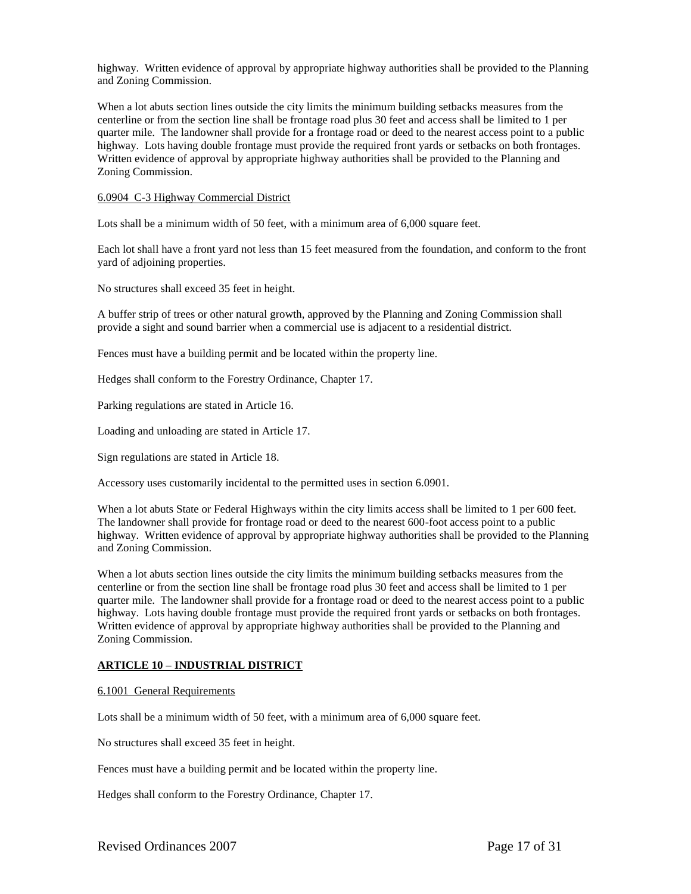highway. Written evidence of approval by appropriate highway authorities shall be provided to the Planning and Zoning Commission.

When a lot abuts section lines outside the city limits the minimum building setbacks measures from the centerline or from the section line shall be frontage road plus 30 feet and access shall be limited to 1 per quarter mile. The landowner shall provide for a frontage road or deed to the nearest access point to a public highway. Lots having double frontage must provide the required front yards or setbacks on both frontages. Written evidence of approval by appropriate highway authorities shall be provided to the Planning and Zoning Commission.

### 6.0904 C-3 Highway Commercial District

Lots shall be a minimum width of 50 feet, with a minimum area of 6,000 square feet.

Each lot shall have a front yard not less than 15 feet measured from the foundation, and conform to the front yard of adjoining properties.

No structures shall exceed 35 feet in height.

A buffer strip of trees or other natural growth, approved by the Planning and Zoning Commission shall provide a sight and sound barrier when a commercial use is adjacent to a residential district.

Fences must have a building permit and be located within the property line.

Hedges shall conform to the Forestry Ordinance, Chapter 17.

Parking regulations are stated in Article 16.

Loading and unloading are stated in Article 17.

Sign regulations are stated in Article 18.

Accessory uses customarily incidental to the permitted uses in section 6.0901.

When a lot abuts State or Federal Highways within the city limits access shall be limited to 1 per 600 feet. The landowner shall provide for frontage road or deed to the nearest 600-foot access point to a public highway. Written evidence of approval by appropriate highway authorities shall be provided to the Planning and Zoning Commission.

When a lot abuts section lines outside the city limits the minimum building setbacks measures from the centerline or from the section line shall be frontage road plus 30 feet and access shall be limited to 1 per quarter mile. The landowner shall provide for a frontage road or deed to the nearest access point to a public highway. Lots having double frontage must provide the required front yards or setbacks on both frontages. Written evidence of approval by appropriate highway authorities shall be provided to the Planning and Zoning Commission.

### **ARTICLE 10 – INDUSTRIAL DISTRICT**

#### 6.1001 General Requirements

Lots shall be a minimum width of 50 feet, with a minimum area of 6,000 square feet.

No structures shall exceed 35 feet in height.

Fences must have a building permit and be located within the property line.

Hedges shall conform to the Forestry Ordinance, Chapter 17.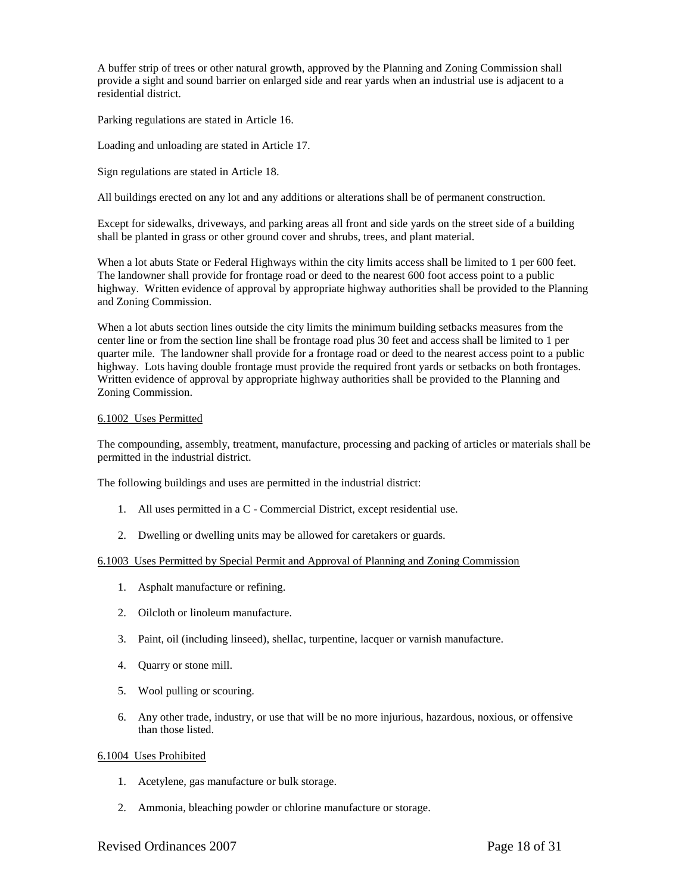A buffer strip of trees or other natural growth, approved by the Planning and Zoning Commission shall provide a sight and sound barrier on enlarged side and rear yards when an industrial use is adjacent to a residential district.

Parking regulations are stated in Article 16.

Loading and unloading are stated in Article 17.

Sign regulations are stated in Article 18.

All buildings erected on any lot and any additions or alterations shall be of permanent construction.

Except for sidewalks, driveways, and parking areas all front and side yards on the street side of a building shall be planted in grass or other ground cover and shrubs, trees, and plant material.

When a lot abuts State or Federal Highways within the city limits access shall be limited to 1 per 600 feet. The landowner shall provide for frontage road or deed to the nearest 600 foot access point to a public highway. Written evidence of approval by appropriate highway authorities shall be provided to the Planning and Zoning Commission.

When a lot abuts section lines outside the city limits the minimum building setbacks measures from the center line or from the section line shall be frontage road plus 30 feet and access shall be limited to 1 per quarter mile. The landowner shall provide for a frontage road or deed to the nearest access point to a public highway. Lots having double frontage must provide the required front yards or setbacks on both frontages. Written evidence of approval by appropriate highway authorities shall be provided to the Planning and Zoning Commission.

### 6.1002 Uses Permitted

The compounding, assembly, treatment, manufacture, processing and packing of articles or materials shall be permitted in the industrial district.

The following buildings and uses are permitted in the industrial district:

- 1. All uses permitted in a C Commercial District, except residential use.
- 2. Dwelling or dwelling units may be allowed for caretakers or guards.

### 6.1003 Uses Permitted by Special Permit and Approval of Planning and Zoning Commission

- 1. Asphalt manufacture or refining.
- 2. Oilcloth or linoleum manufacture.
- 3. Paint, oil (including linseed), shellac, turpentine, lacquer or varnish manufacture.
- 4. Quarry or stone mill.
- 5. Wool pulling or scouring.
- 6. Any other trade, industry, or use that will be no more injurious, hazardous, noxious, or offensive than those listed.

### 6.1004 Uses Prohibited

- 1. Acetylene, gas manufacture or bulk storage.
- 2. Ammonia, bleaching powder or chlorine manufacture or storage.

## Revised Ordinances 2007 Page 18 of 31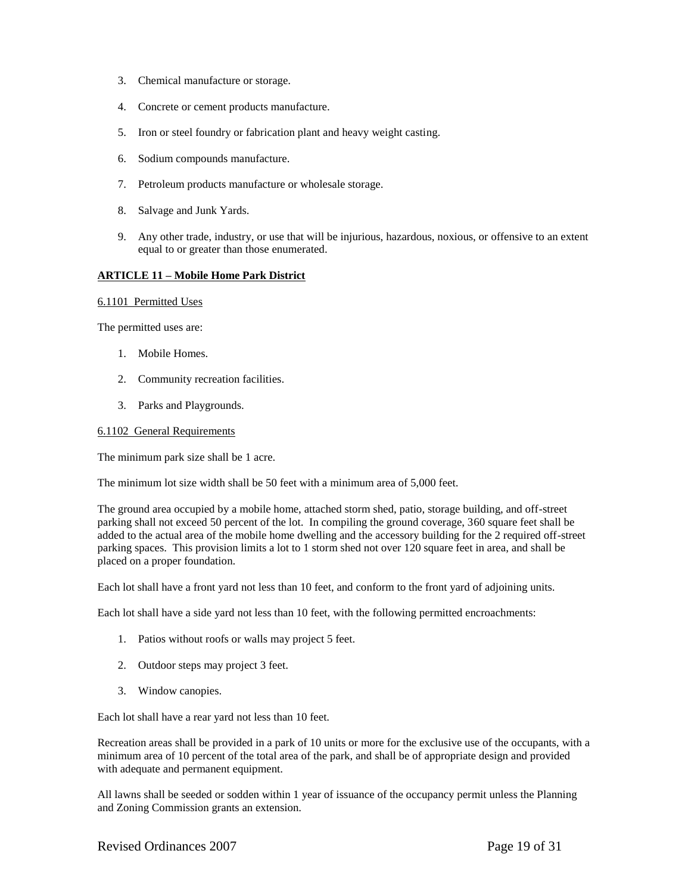- 3. Chemical manufacture or storage.
- 4. Concrete or cement products manufacture.
- 5. Iron or steel foundry or fabrication plant and heavy weight casting.
- 6. Sodium compounds manufacture.
- 7. Petroleum products manufacture or wholesale storage.
- 8. Salvage and Junk Yards.
- 9. Any other trade, industry, or use that will be injurious, hazardous, noxious, or offensive to an extent equal to or greater than those enumerated.

## **ARTICLE 11 – Mobile Home Park District**

#### 6.1101 Permitted Uses

The permitted uses are:

- 1. Mobile Homes.
- 2. Community recreation facilities.
- 3. Parks and Playgrounds.

### 6.1102 General Requirements

The minimum park size shall be 1 acre.

The minimum lot size width shall be 50 feet with a minimum area of 5,000 feet.

The ground area occupied by a mobile home, attached storm shed, patio, storage building, and off-street parking shall not exceed 50 percent of the lot. In compiling the ground coverage, 360 square feet shall be added to the actual area of the mobile home dwelling and the accessory building for the 2 required off-street parking spaces. This provision limits a lot to 1 storm shed not over 120 square feet in area, and shall be placed on a proper foundation.

Each lot shall have a front yard not less than 10 feet, and conform to the front yard of adjoining units.

Each lot shall have a side yard not less than 10 feet, with the following permitted encroachments:

- 1. Patios without roofs or walls may project 5 feet.
- 2. Outdoor steps may project 3 feet.
- 3. Window canopies.

Each lot shall have a rear yard not less than 10 feet.

Recreation areas shall be provided in a park of 10 units or more for the exclusive use of the occupants, with a minimum area of 10 percent of the total area of the park, and shall be of appropriate design and provided with adequate and permanent equipment.

All lawns shall be seeded or sodden within 1 year of issuance of the occupancy permit unless the Planning and Zoning Commission grants an extension.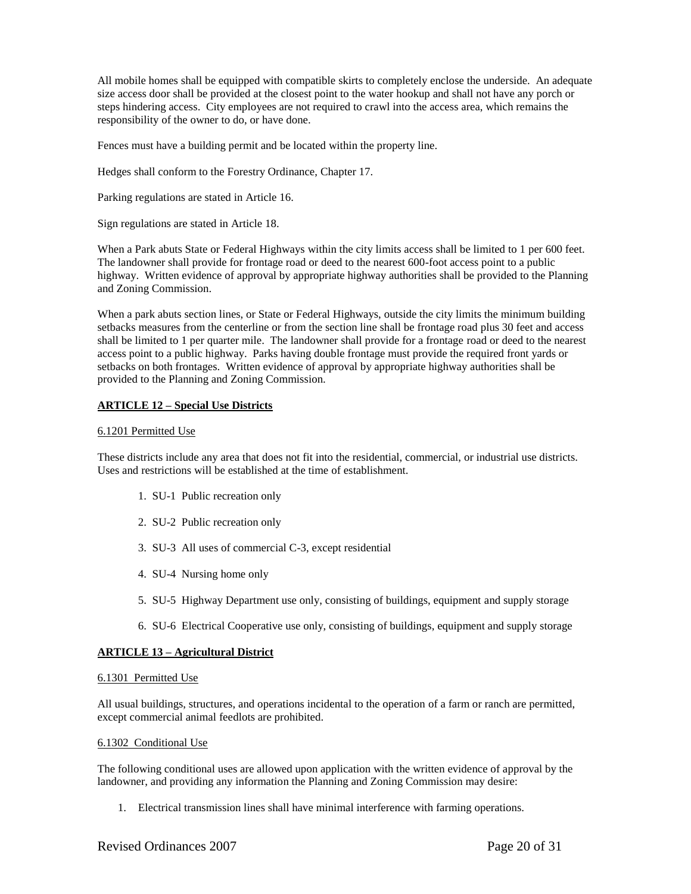All mobile homes shall be equipped with compatible skirts to completely enclose the underside. An adequate size access door shall be provided at the closest point to the water hookup and shall not have any porch or steps hindering access. City employees are not required to crawl into the access area, which remains the responsibility of the owner to do, or have done.

Fences must have a building permit and be located within the property line.

Hedges shall conform to the Forestry Ordinance, Chapter 17.

Parking regulations are stated in Article 16.

Sign regulations are stated in Article 18.

When a Park abuts State or Federal Highways within the city limits access shall be limited to 1 per 600 feet. The landowner shall provide for frontage road or deed to the nearest 600-foot access point to a public highway. Written evidence of approval by appropriate highway authorities shall be provided to the Planning and Zoning Commission.

When a park abuts section lines, or State or Federal Highways, outside the city limits the minimum building setbacks measures from the centerline or from the section line shall be frontage road plus 30 feet and access shall be limited to 1 per quarter mile. The landowner shall provide for a frontage road or deed to the nearest access point to a public highway. Parks having double frontage must provide the required front yards or setbacks on both frontages. Written evidence of approval by appropriate highway authorities shall be provided to the Planning and Zoning Commission.

## **ARTICLE 12 – Special Use Districts**

### 6.1201 Permitted Use

These districts include any area that does not fit into the residential, commercial, or industrial use districts. Uses and restrictions will be established at the time of establishment.

- 1. SU-1 Public recreation only
- 2. SU-2 Public recreation only
- 3. SU-3 All uses of commercial C-3, except residential
- 4. SU-4 Nursing home only
- 5. SU-5 Highway Department use only, consisting of buildings, equipment and supply storage
- 6. SU-6 Electrical Cooperative use only, consisting of buildings, equipment and supply storage

### **ARTICLE 13 – Agricultural District**

### 6.1301 Permitted Use

All usual buildings, structures, and operations incidental to the operation of a farm or ranch are permitted, except commercial animal feedlots are prohibited.

### 6.1302 Conditional Use

The following conditional uses are allowed upon application with the written evidence of approval by the landowner, and providing any information the Planning and Zoning Commission may desire:

1. Electrical transmission lines shall have minimal interference with farming operations.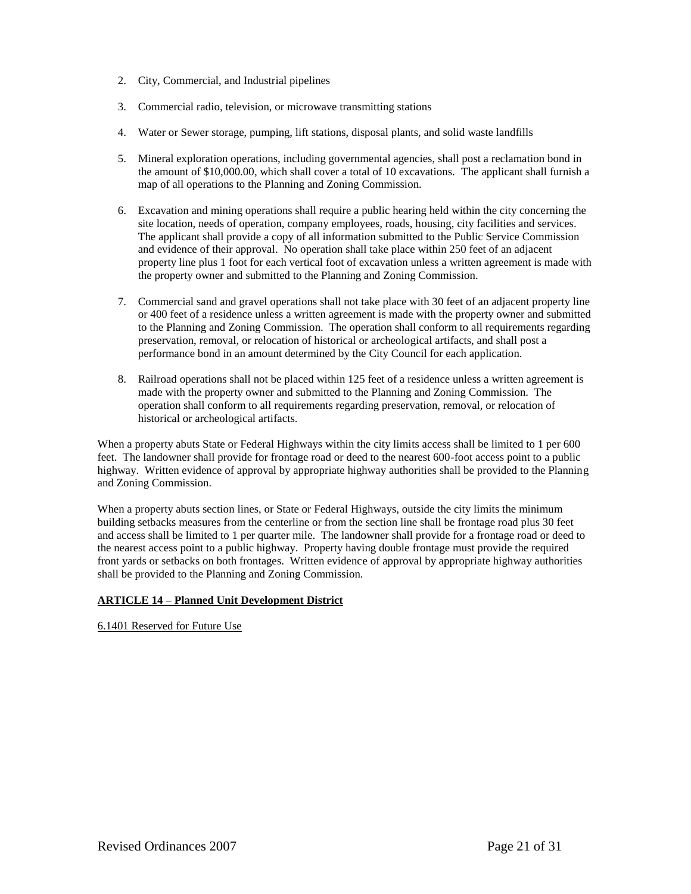- 2. City, Commercial, and Industrial pipelines
- 3. Commercial radio, television, or microwave transmitting stations
- 4. Water or Sewer storage, pumping, lift stations, disposal plants, and solid waste landfills
- 5. Mineral exploration operations, including governmental agencies, shall post a reclamation bond in the amount of \$10,000.00, which shall cover a total of 10 excavations. The applicant shall furnish a map of all operations to the Planning and Zoning Commission.
- 6. Excavation and mining operations shall require a public hearing held within the city concerning the site location, needs of operation, company employees, roads, housing, city facilities and services. The applicant shall provide a copy of all information submitted to the Public Service Commission and evidence of their approval. No operation shall take place within 250 feet of an adjacent property line plus 1 foot for each vertical foot of excavation unless a written agreement is made with the property owner and submitted to the Planning and Zoning Commission.
- 7. Commercial sand and gravel operations shall not take place with 30 feet of an adjacent property line or 400 feet of a residence unless a written agreement is made with the property owner and submitted to the Planning and Zoning Commission. The operation shall conform to all requirements regarding preservation, removal, or relocation of historical or archeological artifacts, and shall post a performance bond in an amount determined by the City Council for each application.
- 8. Railroad operations shall not be placed within 125 feet of a residence unless a written agreement is made with the property owner and submitted to the Planning and Zoning Commission. The operation shall conform to all requirements regarding preservation, removal, or relocation of historical or archeological artifacts.

When a property abuts State or Federal Highways within the city limits access shall be limited to 1 per 600 feet. The landowner shall provide for frontage road or deed to the nearest 600-foot access point to a public highway. Written evidence of approval by appropriate highway authorities shall be provided to the Planning and Zoning Commission.

When a property abuts section lines, or State or Federal Highways, outside the city limits the minimum building setbacks measures from the centerline or from the section line shall be frontage road plus 30 feet and access shall be limited to 1 per quarter mile. The landowner shall provide for a frontage road or deed to the nearest access point to a public highway. Property having double frontage must provide the required front yards or setbacks on both frontages. Written evidence of approval by appropriate highway authorities shall be provided to the Planning and Zoning Commission.

# **ARTICLE 14 – Planned Unit Development District**

6.1401 Reserved for Future Use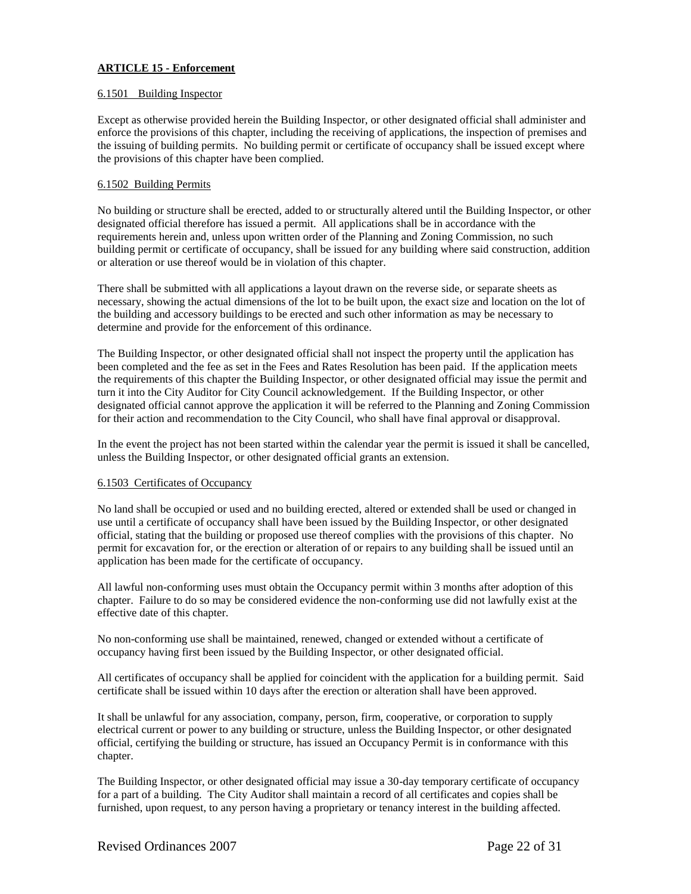# **ARTICLE 15 - Enforcement**

## 6.1501 Building Inspector

Except as otherwise provided herein the Building Inspector, or other designated official shall administer and enforce the provisions of this chapter, including the receiving of applications, the inspection of premises and the issuing of building permits. No building permit or certificate of occupancy shall be issued except where the provisions of this chapter have been complied.

## 6.1502 Building Permits

No building or structure shall be erected, added to or structurally altered until the Building Inspector, or other designated official therefore has issued a permit. All applications shall be in accordance with the requirements herein and, unless upon written order of the Planning and Zoning Commission, no such building permit or certificate of occupancy, shall be issued for any building where said construction, addition or alteration or use thereof would be in violation of this chapter.

There shall be submitted with all applications a layout drawn on the reverse side, or separate sheets as necessary, showing the actual dimensions of the lot to be built upon, the exact size and location on the lot of the building and accessory buildings to be erected and such other information as may be necessary to determine and provide for the enforcement of this ordinance.

The Building Inspector, or other designated official shall not inspect the property until the application has been completed and the fee as set in the Fees and Rates Resolution has been paid. If the application meets the requirements of this chapter the Building Inspector, or other designated official may issue the permit and turn it into the City Auditor for City Council acknowledgement. If the Building Inspector, or other designated official cannot approve the application it will be referred to the Planning and Zoning Commission for their action and recommendation to the City Council, who shall have final approval or disapproval.

In the event the project has not been started within the calendar year the permit is issued it shall be cancelled, unless the Building Inspector, or other designated official grants an extension.

# 6.1503 Certificates of Occupancy

No land shall be occupied or used and no building erected, altered or extended shall be used or changed in use until a certificate of occupancy shall have been issued by the Building Inspector, or other designated official, stating that the building or proposed use thereof complies with the provisions of this chapter. No permit for excavation for, or the erection or alteration of or repairs to any building shall be issued until an application has been made for the certificate of occupancy.

All lawful non-conforming uses must obtain the Occupancy permit within 3 months after adoption of this chapter. Failure to do so may be considered evidence the non-conforming use did not lawfully exist at the effective date of this chapter.

No non-conforming use shall be maintained, renewed, changed or extended without a certificate of occupancy having first been issued by the Building Inspector, or other designated official.

All certificates of occupancy shall be applied for coincident with the application for a building permit. Said certificate shall be issued within 10 days after the erection or alteration shall have been approved.

It shall be unlawful for any association, company, person, firm, cooperative, or corporation to supply electrical current or power to any building or structure, unless the Building Inspector, or other designated official, certifying the building or structure, has issued an Occupancy Permit is in conformance with this chapter.

The Building Inspector, or other designated official may issue a 30-day temporary certificate of occupancy for a part of a building. The City Auditor shall maintain a record of all certificates and copies shall be furnished, upon request, to any person having a proprietary or tenancy interest in the building affected.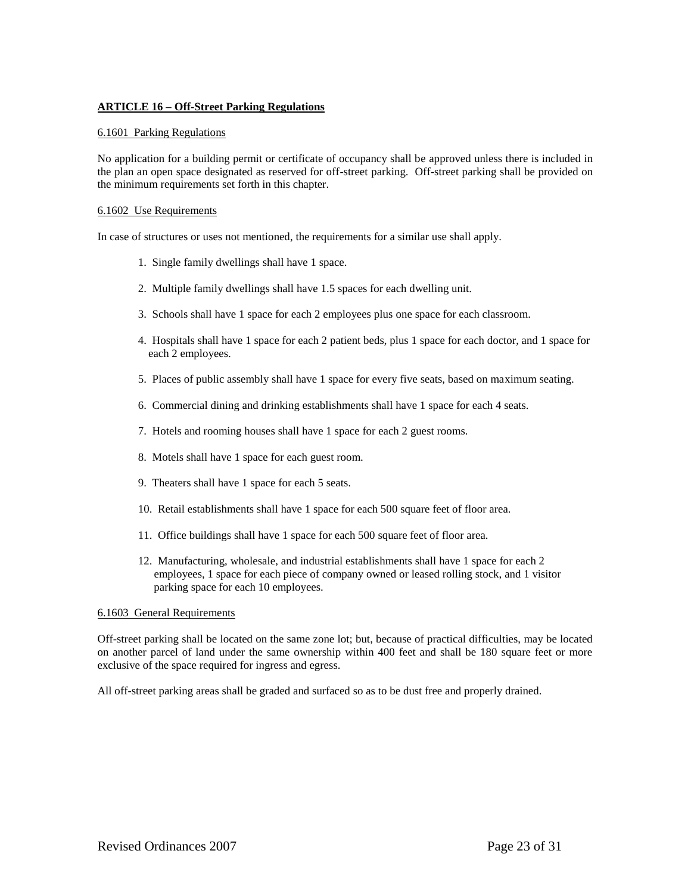# **ARTICLE 16 – Off-Street Parking Regulations**

## 6.1601 Parking Regulations

No application for a building permit or certificate of occupancy shall be approved unless there is included in the plan an open space designated as reserved for off-street parking. Off-street parking shall be provided on the minimum requirements set forth in this chapter.

## 6.1602 Use Requirements

In case of structures or uses not mentioned, the requirements for a similar use shall apply.

- 1. Single family dwellings shall have 1 space.
- 2. Multiple family dwellings shall have 1.5 spaces for each dwelling unit.
- 3. Schools shall have 1 space for each 2 employees plus one space for each classroom.
- 4. Hospitals shall have 1 space for each 2 patient beds, plus 1 space for each doctor, and 1 space for each 2 employees.
- 5. Places of public assembly shall have 1 space for every five seats, based on maximum seating.
- 6. Commercial dining and drinking establishments shall have 1 space for each 4 seats.
- 7. Hotels and rooming houses shall have 1 space for each 2 guest rooms.
- 8. Motels shall have 1 space for each guest room.
- 9. Theaters shall have 1 space for each 5 seats.
- 10. Retail establishments shall have 1 space for each 500 square feet of floor area.
- 11. Office buildings shall have 1 space for each 500 square feet of floor area.
- 12. Manufacturing, wholesale, and industrial establishments shall have 1 space for each 2 employees, 1 space for each piece of company owned or leased rolling stock, and 1 visitor parking space for each 10 employees.

### 6.1603 General Requirements

Off-street parking shall be located on the same zone lot; but, because of practical difficulties, may be located on another parcel of land under the same ownership within 400 feet and shall be 180 square feet or more exclusive of the space required for ingress and egress.

All off-street parking areas shall be graded and surfaced so as to be dust free and properly drained.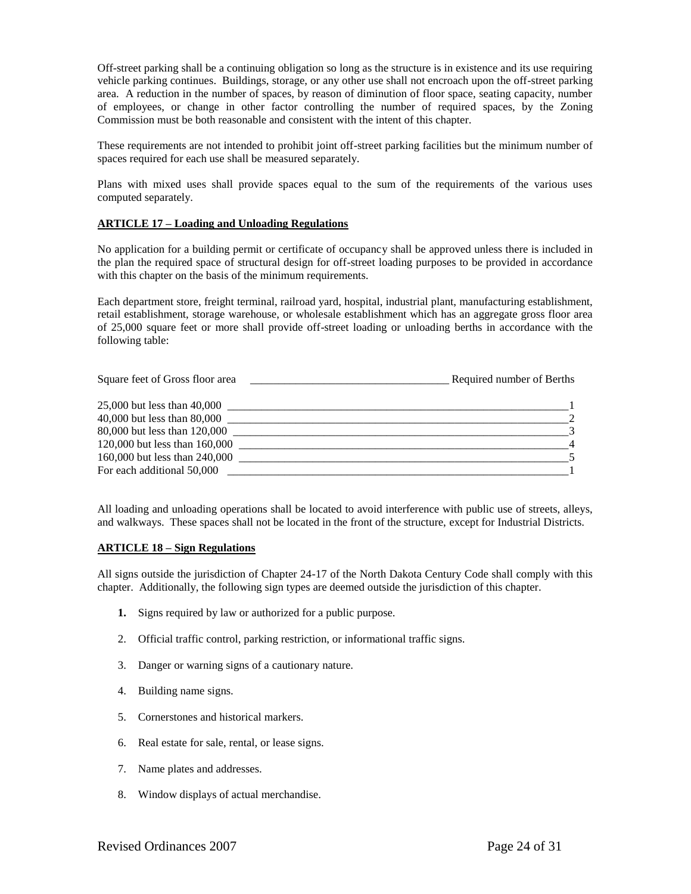Off-street parking shall be a continuing obligation so long as the structure is in existence and its use requiring vehicle parking continues. Buildings, storage, or any other use shall not encroach upon the off-street parking area. A reduction in the number of spaces, by reason of diminution of floor space, seating capacity, number of employees, or change in other factor controlling the number of required spaces, by the Zoning Commission must be both reasonable and consistent with the intent of this chapter.

These requirements are not intended to prohibit joint off-street parking facilities but the minimum number of spaces required for each use shall be measured separately.

Plans with mixed uses shall provide spaces equal to the sum of the requirements of the various uses computed separately.

# **ARTICLE 17 – Loading and Unloading Regulations**

No application for a building permit or certificate of occupancy shall be approved unless there is included in the plan the required space of structural design for off-street loading purposes to be provided in accordance with this chapter on the basis of the minimum requirements.

Each department store, freight terminal, railroad yard, hospital, industrial plant, manufacturing establishment, retail establishment, storage warehouse, or wholesale establishment which has an aggregate gross floor area of 25,000 square feet or more shall provide off-street loading or unloading berths in accordance with the following table:

| Square feet of Gross floor area | Required number of Berths |
|---------------------------------|---------------------------|
| 25,000 but less than 40,000     |                           |
| 40,000 but less than 80,000     |                           |
| 80,000 but less than 120,000    |                           |
| 120,000 but less than 160,000   |                           |
| 160,000 but less than 240,000   |                           |
| For each additional 50,000      |                           |

All loading and unloading operations shall be located to avoid interference with public use of streets, alleys, and walkways. These spaces shall not be located in the front of the structure, except for Industrial Districts.

### **ARTICLE 18 – Sign Regulations**

All signs outside the jurisdiction of Chapter 24-17 of the North Dakota Century Code shall comply with this chapter. Additionally, the following sign types are deemed outside the jurisdiction of this chapter.

- **1.** Signs required by law or authorized for a public purpose.
- 2. Official traffic control, parking restriction, or informational traffic signs.
- 3. Danger or warning signs of a cautionary nature.
- 4. Building name signs.
- 5. Cornerstones and historical markers.
- 6. Real estate for sale, rental, or lease signs.
- 7. Name plates and addresses.
- 8. Window displays of actual merchandise.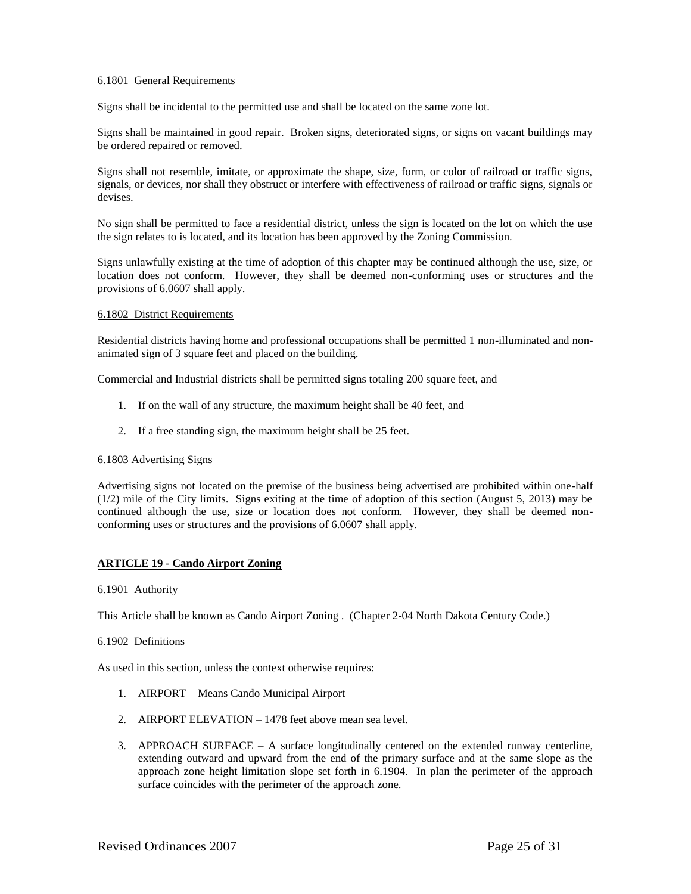# 6.1801 General Requirements

Signs shall be incidental to the permitted use and shall be located on the same zone lot.

Signs shall be maintained in good repair. Broken signs, deteriorated signs, or signs on vacant buildings may be ordered repaired or removed.

Signs shall not resemble, imitate, or approximate the shape, size, form, or color of railroad or traffic signs, signals, or devices, nor shall they obstruct or interfere with effectiveness of railroad or traffic signs, signals or devises.

No sign shall be permitted to face a residential district, unless the sign is located on the lot on which the use the sign relates to is located, and its location has been approved by the Zoning Commission.

Signs unlawfully existing at the time of adoption of this chapter may be continued although the use, size, or location does not conform. However, they shall be deemed non-conforming uses or structures and the provisions of 6.0607 shall apply.

### 6.1802 District Requirements

Residential districts having home and professional occupations shall be permitted 1 non-illuminated and nonanimated sign of 3 square feet and placed on the building.

Commercial and Industrial districts shall be permitted signs totaling 200 square feet, and

- 1. If on the wall of any structure, the maximum height shall be 40 feet, and
- 2. If a free standing sign, the maximum height shall be 25 feet.

### 6.1803 Advertising Signs

Advertising signs not located on the premise of the business being advertised are prohibited within one-half (1/2) mile of the City limits. Signs exiting at the time of adoption of this section (August 5, 2013) may be continued although the use, size or location does not conform. However, they shall be deemed nonconforming uses or structures and the provisions of 6.0607 shall apply.

# **ARTICLE 19 - Cando Airport Zoning**

### 6.1901 Authority

This Article shall be known as Cando Airport Zoning . (Chapter 2-04 North Dakota Century Code.)

### 6.1902 Definitions

As used in this section, unless the context otherwise requires:

- 1. AIRPORT Means Cando Municipal Airport
- 2. AIRPORT ELEVATION 1478 feet above mean sea level.
- 3. APPROACH SURFACE A surface longitudinally centered on the extended runway centerline, extending outward and upward from the end of the primary surface and at the same slope as the approach zone height limitation slope set forth in 6.1904. In plan the perimeter of the approach surface coincides with the perimeter of the approach zone.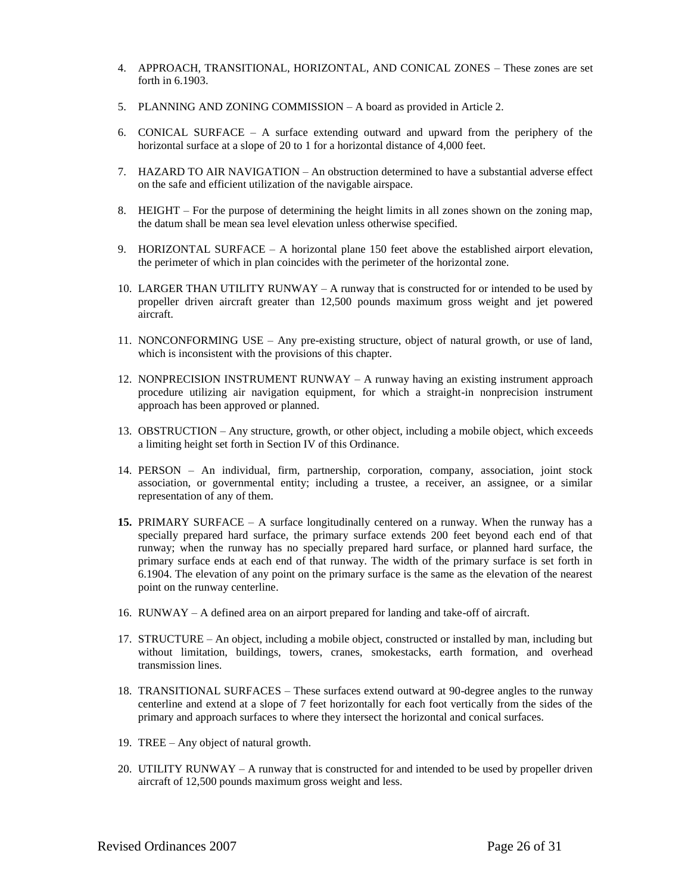- 4. APPROACH, TRANSITIONAL, HORIZONTAL, AND CONICAL ZONES These zones are set forth in 6.1903.
- 5. PLANNING AND ZONING COMMISSION A board as provided in Article 2.
- 6. CONICAL SURFACE A surface extending outward and upward from the periphery of the horizontal surface at a slope of 20 to 1 for a horizontal distance of 4,000 feet.
- 7. HAZARD TO AIR NAVIGATION An obstruction determined to have a substantial adverse effect on the safe and efficient utilization of the navigable airspace.
- 8. HEIGHT For the purpose of determining the height limits in all zones shown on the zoning map, the datum shall be mean sea level elevation unless otherwise specified.
- 9. HORIZONTAL SURFACE A horizontal plane 150 feet above the established airport elevation, the perimeter of which in plan coincides with the perimeter of the horizontal zone.
- 10. LARGER THAN UTILITY RUNWAY A runway that is constructed for or intended to be used by propeller driven aircraft greater than 12,500 pounds maximum gross weight and jet powered aircraft.
- 11. NONCONFORMING USE Any pre-existing structure, object of natural growth, or use of land, which is inconsistent with the provisions of this chapter.
- 12. NONPRECISION INSTRUMENT RUNWAY A runway having an existing instrument approach procedure utilizing air navigation equipment, for which a straight-in nonprecision instrument approach has been approved or planned.
- 13. OBSTRUCTION Any structure, growth, or other object, including a mobile object, which exceeds a limiting height set forth in Section IV of this Ordinance.
- 14. PERSON An individual, firm, partnership, corporation, company, association, joint stock association, or governmental entity; including a trustee, a receiver, an assignee, or a similar representation of any of them.
- **15.** PRIMARY SURFACE A surface longitudinally centered on a runway. When the runway has a specially prepared hard surface, the primary surface extends 200 feet beyond each end of that runway; when the runway has no specially prepared hard surface, or planned hard surface, the primary surface ends at each end of that runway. The width of the primary surface is set forth in 6.1904. The elevation of any point on the primary surface is the same as the elevation of the nearest point on the runway centerline.
- 16. RUNWAY A defined area on an airport prepared for landing and take-off of aircraft.
- 17. STRUCTURE An object, including a mobile object, constructed or installed by man, including but without limitation, buildings, towers, cranes, smokestacks, earth formation, and overhead transmission lines.
- 18. TRANSITIONAL SURFACES These surfaces extend outward at 90-degree angles to the runway centerline and extend at a slope of 7 feet horizontally for each foot vertically from the sides of the primary and approach surfaces to where they intersect the horizontal and conical surfaces.
- 19. TREE Any object of natural growth.
- 20. UTILITY RUNWAY A runway that is constructed for and intended to be used by propeller driven aircraft of 12,500 pounds maximum gross weight and less.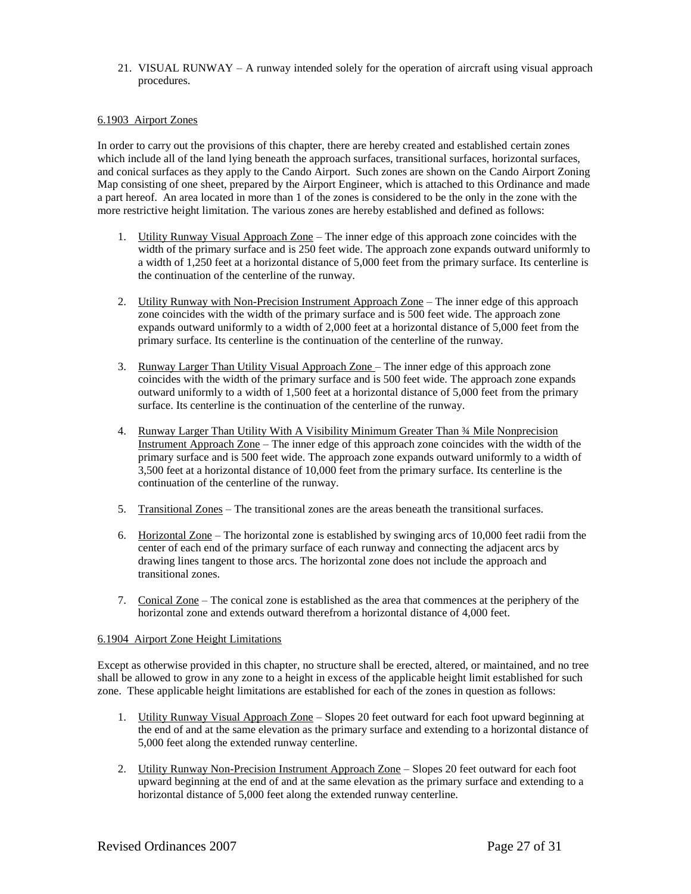21. VISUAL RUNWAY – A runway intended solely for the operation of aircraft using visual approach procedures.

## 6.1903 Airport Zones

In order to carry out the provisions of this chapter, there are hereby created and established certain zones which include all of the land lying beneath the approach surfaces, transitional surfaces, horizontal surfaces, and conical surfaces as they apply to the Cando Airport. Such zones are shown on the Cando Airport Zoning Map consisting of one sheet, prepared by the Airport Engineer, which is attached to this Ordinance and made a part hereof. An area located in more than 1 of the zones is considered to be the only in the zone with the more restrictive height limitation. The various zones are hereby established and defined as follows:

- 1. Utility Runway Visual Approach  $\text{Zone}$  The inner edge of this approach zone coincides with the width of the primary surface and is 250 feet wide. The approach zone expands outward uniformly to a width of 1,250 feet at a horizontal distance of 5,000 feet from the primary surface. Its centerline is the continuation of the centerline of the runway.
- 2. Utility Runway with Non-Precision Instrument Approach Zone The inner edge of this approach zone coincides with the width of the primary surface and is 500 feet wide. The approach zone expands outward uniformly to a width of 2,000 feet at a horizontal distance of 5,000 feet from the primary surface. Its centerline is the continuation of the centerline of the runway.
- 3. Runway Larger Than Utility Visual Approach Zone The inner edge of this approach zone coincides with the width of the primary surface and is 500 feet wide. The approach zone expands outward uniformly to a width of 1,500 feet at a horizontal distance of 5,000 feet from the primary surface. Its centerline is the continuation of the centerline of the runway.
- 4. Runway Larger Than Utility With A Visibility Minimum Greater Than ¾ Mile Nonprecision Instrument Approach Zone – The inner edge of this approach zone coincides with the width of the primary surface and is 500 feet wide. The approach zone expands outward uniformly to a width of 3,500 feet at a horizontal distance of 10,000 feet from the primary surface. Its centerline is the continuation of the centerline of the runway.
- 5. Transitional Zones The transitional zones are the areas beneath the transitional surfaces.
- 6. Horizontal Zone The horizontal zone is established by swinging arcs of 10,000 feet radii from the center of each end of the primary surface of each runway and connecting the adjacent arcs by drawing lines tangent to those arcs. The horizontal zone does not include the approach and transitional zones.
- 7. Conical Zone The conical zone is established as the area that commences at the periphery of the horizontal zone and extends outward therefrom a horizontal distance of 4,000 feet.

### 6.1904 Airport Zone Height Limitations

Except as otherwise provided in this chapter, no structure shall be erected, altered, or maintained, and no tree shall be allowed to grow in any zone to a height in excess of the applicable height limit established for such zone. These applicable height limitations are established for each of the zones in question as follows:

- 1. Utility Runway Visual Approach Zone Slopes 20 feet outward for each foot upward beginning at the end of and at the same elevation as the primary surface and extending to a horizontal distance of 5,000 feet along the extended runway centerline.
- 2. Utility Runway Non-Precision Instrument Approach Zone Slopes 20 feet outward for each foot upward beginning at the end of and at the same elevation as the primary surface and extending to a horizontal distance of 5,000 feet along the extended runway centerline.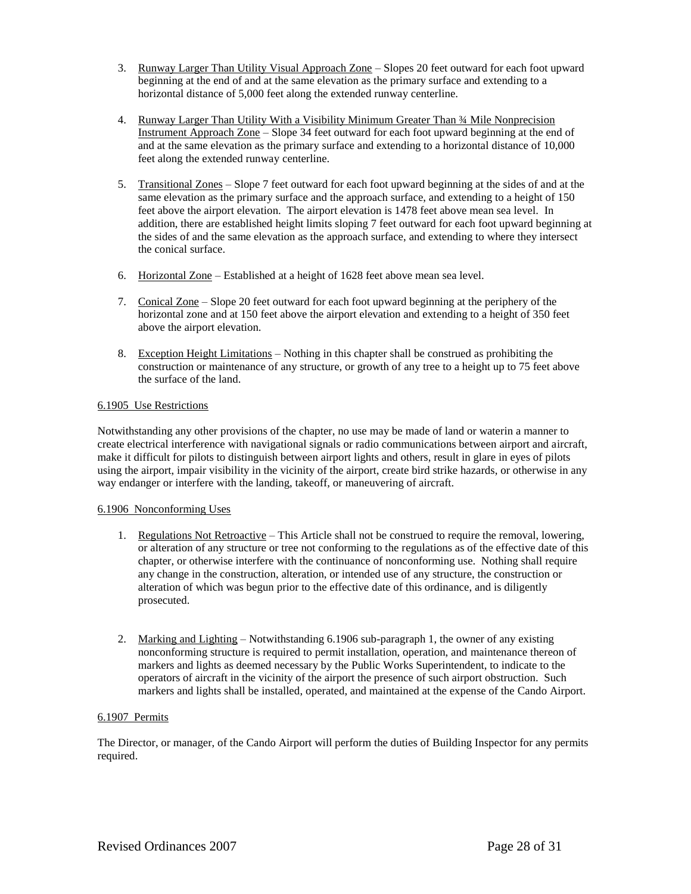- 3. Runway Larger Than Utility Visual Approach Zone Slopes 20 feet outward for each foot upward beginning at the end of and at the same elevation as the primary surface and extending to a horizontal distance of 5,000 feet along the extended runway centerline.
- 4. Runway Larger Than Utility With a Visibility Minimum Greater Than ¾ Mile Nonprecision Instrument Approach Zone – Slope 34 feet outward for each foot upward beginning at the end of and at the same elevation as the primary surface and extending to a horizontal distance of 10,000 feet along the extended runway centerline.
- 5. Transitional Zones Slope 7 feet outward for each foot upward beginning at the sides of and at the same elevation as the primary surface and the approach surface, and extending to a height of 150 feet above the airport elevation. The airport elevation is 1478 feet above mean sea level. In addition, there are established height limits sloping 7 feet outward for each foot upward beginning at the sides of and the same elevation as the approach surface, and extending to where they intersect the conical surface.
- 6. Horizontal Zone Established at a height of 1628 feet above mean sea level.
- 7. Conical Zone Slope 20 feet outward for each foot upward beginning at the periphery of the horizontal zone and at 150 feet above the airport elevation and extending to a height of 350 feet above the airport elevation.
- 8. Exception Height Limitations Nothing in this chapter shall be construed as prohibiting the construction or maintenance of any structure, or growth of any tree to a height up to 75 feet above the surface of the land.

# 6.1905 Use Restrictions

Notwithstanding any other provisions of the chapter, no use may be made of land or waterin a manner to create electrical interference with navigational signals or radio communications between airport and aircraft, make it difficult for pilots to distinguish between airport lights and others, result in glare in eyes of pilots using the airport, impair visibility in the vicinity of the airport, create bird strike hazards, or otherwise in any way endanger or interfere with the landing, takeoff, or maneuvering of aircraft.

# 6.1906 Nonconforming Uses

- 1. Regulations Not Retroactive This Article shall not be construed to require the removal, lowering, or alteration of any structure or tree not conforming to the regulations as of the effective date of this chapter, or otherwise interfere with the continuance of nonconforming use. Nothing shall require any change in the construction, alteration, or intended use of any structure, the construction or alteration of which was begun prior to the effective date of this ordinance, and is diligently prosecuted.
- 2. Marking and Lighting Notwithstanding 6.1906 sub-paragraph 1, the owner of any existing nonconforming structure is required to permit installation, operation, and maintenance thereon of markers and lights as deemed necessary by the Public Works Superintendent, to indicate to the operators of aircraft in the vicinity of the airport the presence of such airport obstruction. Such markers and lights shall be installed, operated, and maintained at the expense of the Cando Airport.

# 6.1907 Permits

The Director, or manager, of the Cando Airport will perform the duties of Building Inspector for any permits required.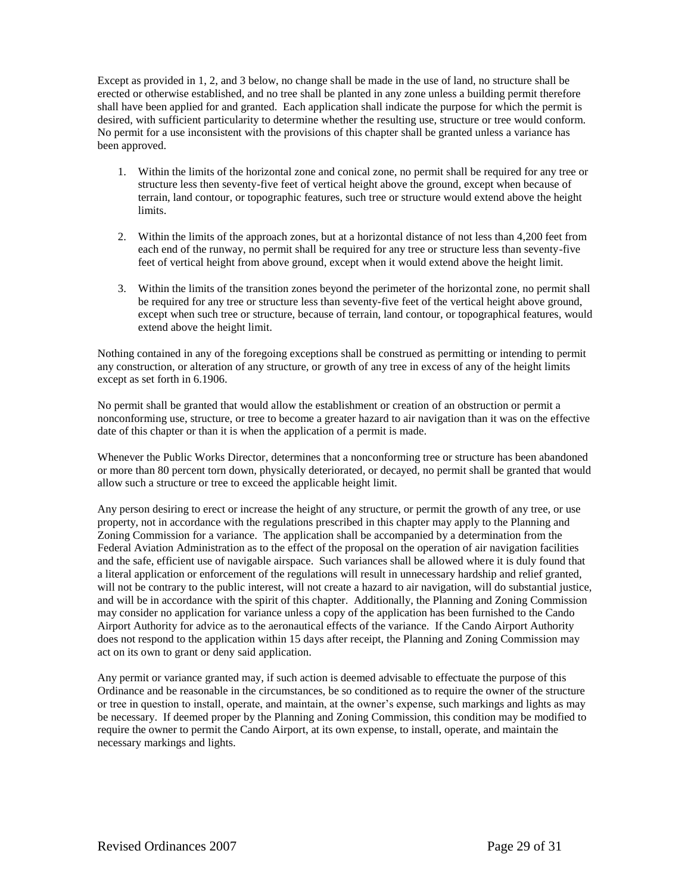Except as provided in 1, 2, and 3 below, no change shall be made in the use of land, no structure shall be erected or otherwise established, and no tree shall be planted in any zone unless a building permit therefore shall have been applied for and granted. Each application shall indicate the purpose for which the permit is desired, with sufficient particularity to determine whether the resulting use, structure or tree would conform. No permit for a use inconsistent with the provisions of this chapter shall be granted unless a variance has been approved.

- 1. Within the limits of the horizontal zone and conical zone, no permit shall be required for any tree or structure less then seventy-five feet of vertical height above the ground, except when because of terrain, land contour, or topographic features, such tree or structure would extend above the height limits.
- 2. Within the limits of the approach zones, but at a horizontal distance of not less than 4,200 feet from each end of the runway, no permit shall be required for any tree or structure less than seventy-five feet of vertical height from above ground, except when it would extend above the height limit.
- 3. Within the limits of the transition zones beyond the perimeter of the horizontal zone, no permit shall be required for any tree or structure less than seventy-five feet of the vertical height above ground, except when such tree or structure, because of terrain, land contour, or topographical features, would extend above the height limit.

Nothing contained in any of the foregoing exceptions shall be construed as permitting or intending to permit any construction, or alteration of any structure, or growth of any tree in excess of any of the height limits except as set forth in 6.1906.

No permit shall be granted that would allow the establishment or creation of an obstruction or permit a nonconforming use, structure, or tree to become a greater hazard to air navigation than it was on the effective date of this chapter or than it is when the application of a permit is made.

Whenever the Public Works Director, determines that a nonconforming tree or structure has been abandoned or more than 80 percent torn down, physically deteriorated, or decayed, no permit shall be granted that would allow such a structure or tree to exceed the applicable height limit.

Any person desiring to erect or increase the height of any structure, or permit the growth of any tree, or use property, not in accordance with the regulations prescribed in this chapter may apply to the Planning and Zoning Commission for a variance. The application shall be accompanied by a determination from the Federal Aviation Administration as to the effect of the proposal on the operation of air navigation facilities and the safe, efficient use of navigable airspace. Such variances shall be allowed where it is duly found that a literal application or enforcement of the regulations will result in unnecessary hardship and relief granted, will not be contrary to the public interest, will not create a hazard to air navigation, will do substantial justice, and will be in accordance with the spirit of this chapter. Additionally, the Planning and Zoning Commission may consider no application for variance unless a copy of the application has been furnished to the Cando Airport Authority for advice as to the aeronautical effects of the variance. If the Cando Airport Authority does not respond to the application within 15 days after receipt, the Planning and Zoning Commission may act on its own to grant or deny said application.

Any permit or variance granted may, if such action is deemed advisable to effectuate the purpose of this Ordinance and be reasonable in the circumstances, be so conditioned as to require the owner of the structure or tree in question to install, operate, and maintain, at the owner's expense, such markings and lights as may be necessary. If deemed proper by the Planning and Zoning Commission, this condition may be modified to require the owner to permit the Cando Airport, at its own expense, to install, operate, and maintain the necessary markings and lights.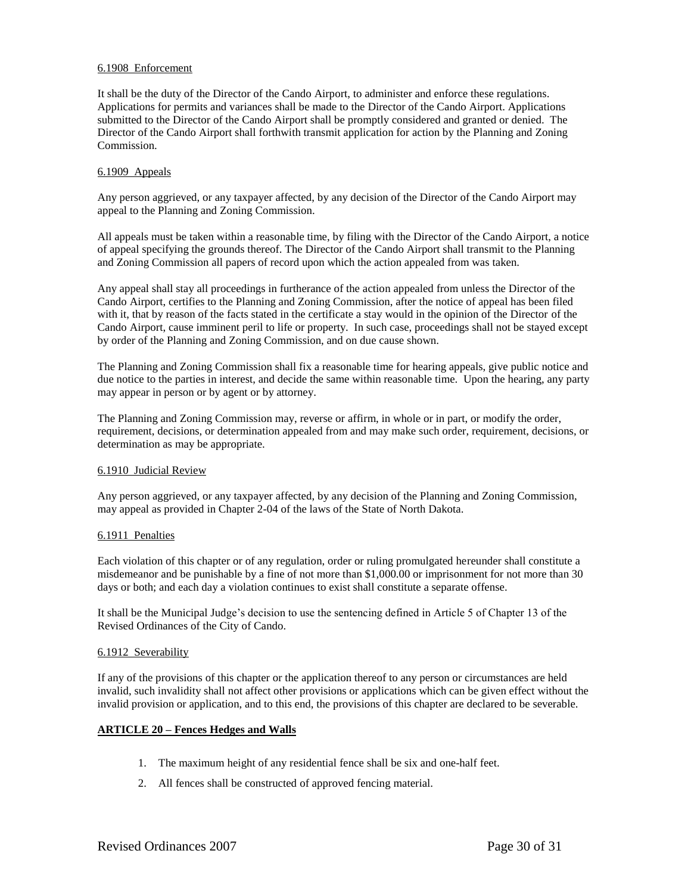## 6.1908 Enforcement

It shall be the duty of the Director of the Cando Airport, to administer and enforce these regulations. Applications for permits and variances shall be made to the Director of the Cando Airport. Applications submitted to the Director of the Cando Airport shall be promptly considered and granted or denied. The Director of the Cando Airport shall forthwith transmit application for action by the Planning and Zoning Commission.

### 6.1909 Appeals

Any person aggrieved, or any taxpayer affected, by any decision of the Director of the Cando Airport may appeal to the Planning and Zoning Commission.

All appeals must be taken within a reasonable time, by filing with the Director of the Cando Airport, a notice of appeal specifying the grounds thereof. The Director of the Cando Airport shall transmit to the Planning and Zoning Commission all papers of record upon which the action appealed from was taken.

Any appeal shall stay all proceedings in furtherance of the action appealed from unless the Director of the Cando Airport, certifies to the Planning and Zoning Commission, after the notice of appeal has been filed with it, that by reason of the facts stated in the certificate a stay would in the opinion of the Director of the Cando Airport, cause imminent peril to life or property. In such case, proceedings shall not be stayed except by order of the Planning and Zoning Commission, and on due cause shown.

The Planning and Zoning Commission shall fix a reasonable time for hearing appeals, give public notice and due notice to the parties in interest, and decide the same within reasonable time. Upon the hearing, any party may appear in person or by agent or by attorney.

The Planning and Zoning Commission may, reverse or affirm, in whole or in part, or modify the order, requirement, decisions, or determination appealed from and may make such order, requirement, decisions, or determination as may be appropriate.

### 6.1910 Judicial Review

Any person aggrieved, or any taxpayer affected, by any decision of the Planning and Zoning Commission, may appeal as provided in Chapter 2-04 of the laws of the State of North Dakota.

### 6.1911 Penalties

Each violation of this chapter or of any regulation, order or ruling promulgated hereunder shall constitute a misdemeanor and be punishable by a fine of not more than \$1,000.00 or imprisonment for not more than 30 days or both; and each day a violation continues to exist shall constitute a separate offense.

It shall be the Municipal Judge's decision to use the sentencing defined in Article 5 of Chapter 13 of the Revised Ordinances of the City of Cando.

### 6.1912 Severability

If any of the provisions of this chapter or the application thereof to any person or circumstances are held invalid, such invalidity shall not affect other provisions or applications which can be given effect without the invalid provision or application, and to this end, the provisions of this chapter are declared to be severable.

# **ARTICLE 20 – Fences Hedges and Walls**

- 1. The maximum height of any residential fence shall be six and one-half feet.
- 2. All fences shall be constructed of approved fencing material.